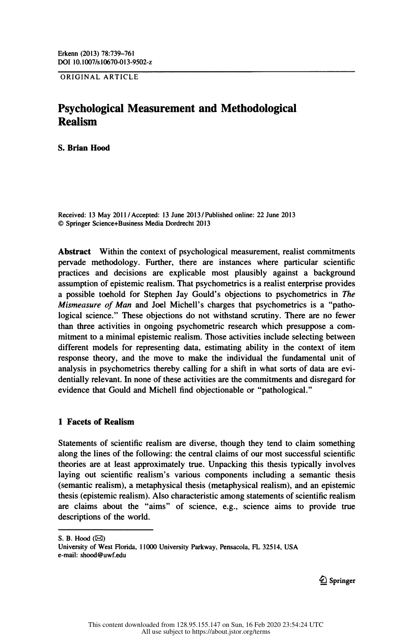ORIGINAL ARTICLE

## Psychological Measurement and Methodological Realism

S. Brian Hood

Received: 13 May 2011 / Accepted: 13 June 2013 / Published online: 22 June 2013 © Springer Science+Business Media Dordrecht 2013

 Abstract Within the context of psychological measurement, realist commitments pervade methodology. Further, there are instances where particular scientific practices and decisions are explicable most plausibly against a background assumption of epistemic realism. That psychometrics is a realist enterprise provides a possible toehold for Stephen Jay Gould's objections to psychometrics in The Mismeasure of Man and Joel Michell's charges that psychometrics is a "patho logical science." These objections do not withstand scrutiny. There are no fewer than three activities in ongoing psychometric research which presuppose a com mitment to a minimal epistemic realism. Those activities include selecting between different models for representing data, estimating ability in the context of item response theory, and the move to make the individual the fundamental unit of analysis in psychometrics thereby calling for a shift in what sorts of data are evi dentially relevant. In none of these activities are the commitments and disregard for evidence that Gould and Micheli find objectionable or "pathological."

### 1 Facets of Realism

 Statements of scientific realism are diverse, though they tend to claim something along the lines of the following: the central claims of our most successful scientific theories are at least approximately true. Unpacking this thesis typically involves laying out scientific realism's various components including a semantic thesis (semantic realism), a metaphysical thesis (metaphysical realism), and an epistemic thesis (epistemic realism). Also characteristic among statements of scientific realism are claims about the "aims" of science, e.g., science aims to provide true descriptions of the world.

S. B. Hood  $(\boxtimes)$ 

 $\textcircled{\tiny 2}$  Springer

University of West Florida, 1 1000 University Parkway, Pensacola, FL 32514, USA e-mail: shood@uwf.edu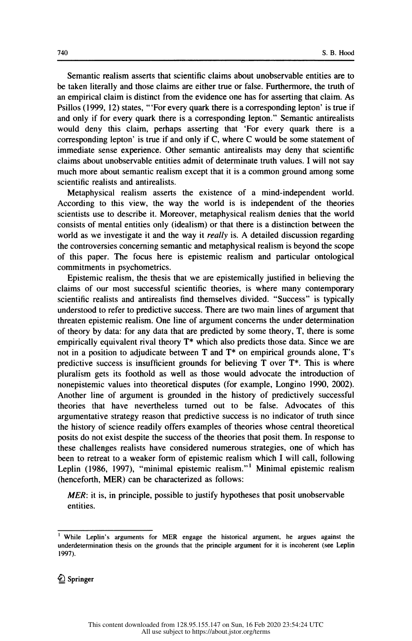Semantic realism asserts that scientific claims about unobservable entities are to be taken literally and those claims are either true or false. Furthermore, the truth of an empirical claim is distinct from the evidence one has for asserting that claim. As Psillos (1999, 12) states, "'For every quark there is a corresponding lepton' is true if and only if for every quark there is a corresponding lepton." Semantic antirealists would deny this claim, perhaps asserting that 'For every quark there is a corresponding lepton' is true if and only if C, where C would be some statement of immediate sense experience. Other semantic antirealists may deny that scientific claims about unobservable entities admit of determinate truth values. I will not say much more about semantic realism except that it is a common ground among some scientific realists and antirealists.

 Metaphysical realism asserts the existence of a mind-independent world. According to this view, the way the world is is independent of the theories scientists use to describe it. Moreover, metaphysical realism denies that the world consists of mental entities only (idealism) or that there is a distinction between the world as we investigate it and the way it *really* is. A detailed discussion regarding the controversies concerning semantic and metaphysical realism is beyond the scope of this paper. The focus here is epistemic realism and particular ontological commitments in psychometrics.

 Epistemic realism, the thesis that we are epistemically justified in believing the claims of our most successful scientific theories, is where many contemporary scientific realists and antirealists find themselves divided. "Success" is typically understood to refer to predictive success. There are two main lines of argument that threaten epistemic realism. One line of argument concerns the under determination of theory by data: for any data that are predicted by some theory, T, there is some empirically equivalent rival theory  $T^*$  which also predicts those data. Since we are not in a position to adjudicate between  $T$  and  $T^*$  on empirical grounds alone,  $T$ 's predictive success is insufficient grounds for believing T over T\*. This is where pluralism gets its foothold as well as those would advocate the introduction of nonepistemic values into theoretical disputes (for example, Longino 1990, 2002). Another line of argument is grounded in the history of predictively successful theories that have nevertheless turned out to be false. Advocates of this argumentative strategy reason that predictive success is no indicator of truth since the history of science readily offers examples of theories whose central theoretical posits do not exist despite the success of the theories that posit them. In response to these challenges realists have considered numerous strategies, one of which has been to retreat to a weaker form of epistemic realism which I will call, following Leplin (1986, 1997), "minimal epistemic realism."<sup>1</sup> Minimal epistemic realism (henceforth, MER) can be characterized as follows:

 $MER$ : it is, in principle, possible to justify hypotheses that posit unobservable entities.

<sup>&</sup>lt;sup>1</sup> While Leplin's arguments for MER engage the historical argument, he argues against the underdetermination thesis on the grounds that the principle argument for it is incoherent (see Leplin 1997).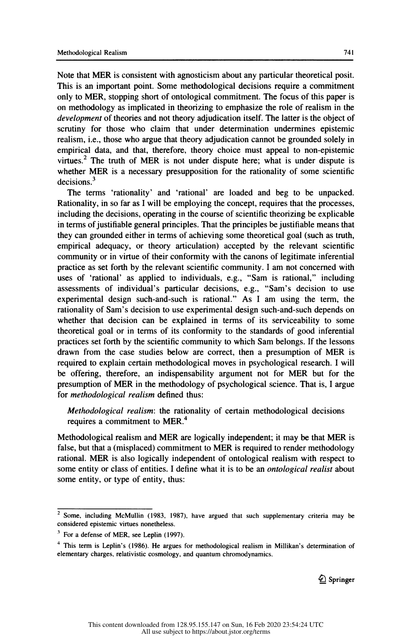Note that MER is consistent with agnosticism about any particular theoretical posit. This is an important point. Some methodological decisions require a commitment only to MER, stopping short of ontological commitment. The focus of this paper is on methodology as implicated in theorizing to emphasize the role of realism in the development of theories and not theory adjudication itself. The latter is the object of scrutiny for those who claim that under determination undermines epistemic realism, i.e., those who argue that theory adjudication cannot be grounded solely in empirical data, and that, therefore, theory choice must appeal to non-epistemic virtues.<sup>2</sup> The truth of MER is not under dispute here; what is under dispute is virtues.<sup>-</sup> The truth of MER is not under dispute here; what is under dispute is<br>whether MER is a necessary presupposition for the rationality of some scientific<br>designes<sup>3</sup> whether MER is a necessary pres<br>decisions.<sup>3</sup>  $\alpha$  decisions.<sup>3</sup><br>The terms 'rationality' and 'rational' are loaded and beg to be unpacked.

 Rationality, in so far as I will be employing the concept, requires that the processes, including the decisions, operating in the course of scientific theorizing be explicable in terms of justifiable general principles. That the principles be justifiable means that they can grounded either in terms of achieving some theoretical goal (such as truth, empirical adequacy, or theory articulation) accepted by the relevant scientific community or in virtue of their conformity with the canons of legitimate inferential practice as set forth by the relevant scientific community. I am not concerned with uses of 'rational' as applied to individuals, e.g., "Sam is rational," including assessments of individual's particular decisions, e.g., "Sam's decision to use experimental design such-and-such is rational." As I am using the term, the rationality of Sam's decision to use experimental design such-and-such depends on whether that decision can be explained in terms of its serviceability to some theoretical goal or in terms of its conformity to the standards of good inferential practices set forth by the scientific community to which Sam belongs. If the lessons drawn from the case studies below are correct, then a presumption of MER is practices set forth by the scientific community to which Sam belongs. If the lessons<br>drawn from the case studies below are correct, then a presumption of MER is<br>required to avale in earthin methodological moves in pouchalo required to explain certain methodological moves in psychological research. I will be offering, therefore, an indispensability argument not for MER but for the be offering, therefore, an indispensability argument not for MER but for the<br>presumption of MER in the methodology of psychological science. That is, I argue<br>for mathodological realism defined thus presumption of MER in the methodology of psychological science. That is, I argue<br>for *methodological realism* defined thus:

Methodological realism: the rationality of certain methodological decisions methodological decisions *Methodological realism*: the rationality of certain methodological decisions requires a commitment to MER.<sup>4</sup> requires a commitment to MER.<sup>4</sup><br>Methodological realism and MER are logically independent; it may be that MER is

 false, but that a (misplaced) commitment to MER is required to render methodology rational. MER is also logically independent of ontological realism with respect to rational. MER is also logically independent of ontological realism with respect to<br>some entity or class of entities. I define what it is to be an *ontological realist* about some entity or class of entities. I define what it is to be an *ontological realist* about some entity, or type of entity, thus:

 $\frac{2}{2}$  Some, including McMullin (1983, 1987), have argued that such supplementary criteria may be considered epistemic virtues poperheless " Some, including McMullin (1983, 1987), have argued that such supplementary criteria may be<br>considered epistemic virtues nonetheless.<br><sup>2</sup> considered epistemic virtues nonetheless.<br> $3$  For a defense of MER, see Leplin (1997).

<sup>&</sup>lt;sup>4</sup> This term is Leplin's (1986). He argues for methodological realism in Millikan's determination of elementary charges, relativistic cosmology, and quantum chromodynamics.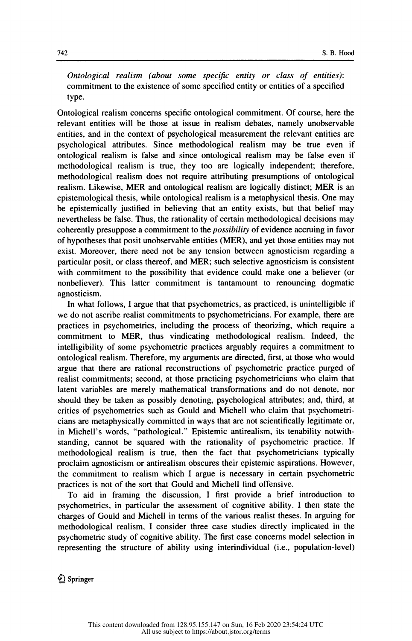S. B. Hood<br>
S. B. Hood<br>
Contradiction and the existence of some specified entity or class of entities):<br>
Commitment to the existence of some specified entity or entities of a specified S. B. Hood<br>Ontological realism (about some specific entity or class of entities):<br>commitment to the existence of some specified entity or entities of a specified<br>type. type.

 Ontological realism concerns specific ontological commitment. Of course, here the relevant entities will be those at issue in realism debates, namely unobservable entities, and in the context of psychological measurement the relevant entities are psychological attributes. Since methodological realism may be true even if ontological realism is false and since ontological realism may be false even if methodological realism is true, they too are logically independent; therefore, methodological realism does not require attributing presumptions of ontological realism. Likewise, MER and ontological realism are logically distinct; MER is an epistemological thesis, while ontological realism is a metaphysical thesis. One may be epistemically justified in believing that an entity exists, but that belief may nevertheless be false. Thus, the rationality of certain methodological decisions may coherently presuppose a commitment to the possibility of evidence accruing in favor of hypotheses that posit unobservable entities (MER), and yet those entities may not exist. Moreover, there need not be any tension between agnosticism regarding a particular posit, or class thereof, and MER; such selective agnosticism is consistent with commitment to the possibility that evidence could make one a believer (or nonbeliever). This latter commitment is tantamount to renouncing dogmatic agnosticism.

 In what follows, I argue that that psychometrics, as practiced, is unintelligible if we do not ascribe realist commitments to psychometricians. For example, there are practices in psychometrics, including the process of theorizing, which require a commitment to MER, thus vindicating methodological realism. Indeed, the intelligibility of some psychometric practices arguably requires a commitment to ontological realism. Therefore, my arguments are directed, first, at those who would argue that there are rational reconstructions of psychometric practice purged of realist commitments; second, at those practicing psychometricians who claim that latent variables are merely mathematical transformations and do not denote, nor should they be taken as possibly denoting, psychological attributes; and, third, at critics of psychometrics such as Gould and Micheli who claim that psychometri cians are metaphysically committed in ways that are not scientifically legitimate or, in Michell's words, "pathological." Epistemic antirealism, its tenability notwith standing, cannot be squared with the rationality of psychometric practice. If methodological realism is true, then the fact that psychometricians typically proclaim agnosticism or antirealism obscures their epistemic aspirations. However, the commitment to realism which I argue is necessary in certain psychometric practices is not of the sort that Gould and Micheli find offensive.

 To aid in framing the discussion, I first provide a brief introduction to psychometrics, in particular the assessment of cognitive ability. I then state the charges of Gould and Micheli in terms of the various realist theses. In arguing for methodological realism, I consider three case studies directly implicated in the psychometric study of cognitive ability. The first case concerns model selection in representing the structure of ability using interindividual (i.e., population-level)

Ö Springer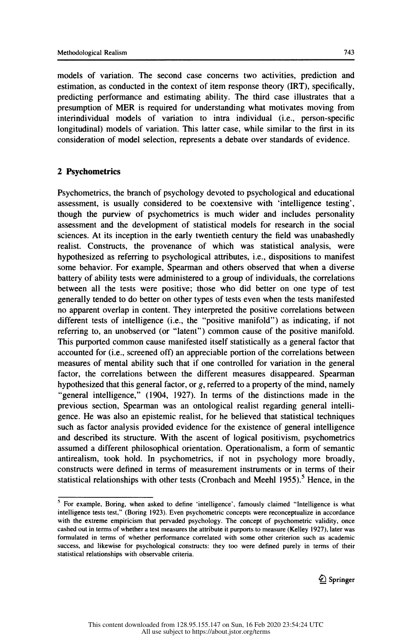models of variation. The second case concerns two activities, prediction and<br>estimation as conducted in the context of item response theory (IPT), specifically models of variation. The second case concerns two activities, prediction and estimation, as conducted in the context of item response theory (IRT), specifically, predicting performance and estimating ability. The third case illustrates that a presumption of MER is required for understanding what motivates moving from interindividual models of variation to intra individual (i.e., person-specific longitudinal) models of variation. This latter case, while similar to the first in its consideration of model selection, represents a debate over standards of evidence.

# 2 Psychometrics

Psychometrics, the branch of psychology devoted to psychological and educational assessment, is usually considered to be coextensive with 'intelligence testing', Psychometrics, the branch of psychology devoted to psychological and educational<br>assessment, is usually considered to be coextensive with 'intelligence testing',<br>though the nurrious of psychometries is much wider and inclu though the purview of psychometrics is much wider and includes personality assessment and the development of statistical models for research in the social sciences. At its inception in the early twentieth century the field was unabashedly realist. Constructs, the provenance of which was statistical analysis, were sciences. At its inception in the early twentieth century the field was unabashedly<br>realist. Constructs, the provenance of which was statistical analysis, were<br>bunothesized as referring to psychological stributes i.e. disp hypothesized as referring to psychological attributes, i.e., dispositions to manifest some behavior. For example, Spearman and others observed that when a diverse battery of ability tests were administered to a group of individuals, the correlations between all the tests were positive; those who did better on one type of test battery of ability tests were administered to a group of individuals, the correlations<br>between all the tests were positive; those who did better on one type of test<br>cancrelly tended to do better on other types of tests ave generally tended to do better on other types of tests even when the tests manifested no apparent overlap in content. They interpreted the positive correlations between different tests of intelligence (i.e., the "positive manifold") as indicating, if not referring to, an unobserved (or "latent") common cause of the positive manifold.<br>This purported common cause manifested itself statistically as a general factor that referring to, an unobserved (or "latent") common cause of the positive manifold.<br>This purported common cause manifested itself statistically as a general factor that<br>assessment for  $(i.e., generated off)$  an annovatible neutring of the c accounted for (i.e., screened off) an appreciable portion of the correlations between accounted for (i.e., screened off) an appreciable portion of the correlations between<br>measures of mental ability such that if one controlled for variation in the general<br>feature the correlations hattucen the different meas factor, the correlations between the different measures disappeared. Spearman hypothesized that this general factor, or  $g$ , referred to a property of the mind, namely "general intelligence,"  $(1904, 1927)$ . In terms of the distinctions made in the hypothesized that this general factor, or g, referred to a property of the mind, namely<br>"general intelligence," (1904, 1927). In terms of the distinctions made in the<br>provious eastion. Spearman was an optological realist r previous section, Spearman was an ontological realist regarding general intelli gence. He was also an epistemic realist, for he believed that statistical techniques such as factor analysis provided evidence for the existence of general intelligence and described its structure. With the ascent of logical positivism, psychometrics assumed a different philosophical orientation. Operationalism, a form of semantic and described its structure. With the ascent of logical positivism, psychometrics<br>assumed a different philosophical orientation. Operationalism, a form of semantic<br>entimation, took hold. In psychometrics, if not in psychol assumed a different philosophical orientation. Operationalism, a form of semantic<br>antirealism, took hold. In psychometrics, if not in psychology more broadly,<br>constructs were defined in terms of measurement instruments or constructs were defined in terms of measurement instruments or in terms of their statistical relationships with other tests (Cronbach and Meehl  $1955$ ).<sup>5</sup> Hence, in the

 $5$  For example, Boring, when asked to define 'intelligence', famously claimed "Intelligence is what intelligence tests test," (Boring 1923). Even psychometric concepts were reconceptualize in accordance with the extreme empiricism that pervaded psychology. The concept of psychometric validity, once cashed out in terms of whether a test measures the attribute it purports to measure (Kelley 1927), later was formulated in terms of whether performance correlated with some other criterion such as academic success, and likewise for psychological constructs: they too were defined purely in terms of their statistical relationships with observable criteria.

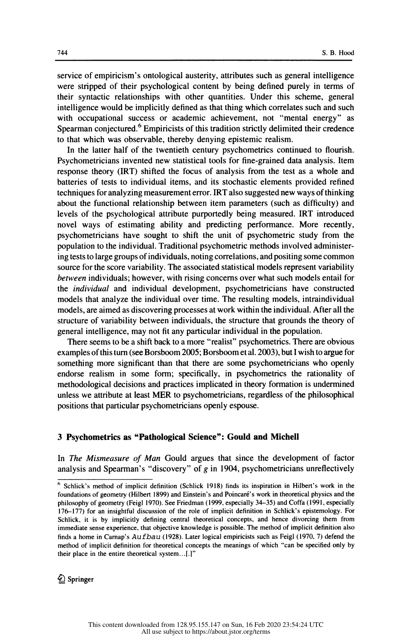S. B. Hood<br>Service of empiricism's ontological austerity, attributes such as general intelligence<br>were stripped of their psychological content by being defined purely in terms of S. B. Hood<br>service of empiricism's ontological austerity, attributes such as general intelligence<br>were stripped of their psychological content by being defined purely in terms of<br>their syntactic relationships with other qu the service of empiricism's ontological austerity, attributes such as general intelligence<br>were stripped of their psychological content by being defined purely in terms of<br>their syntactic relationships with other quantitie service of empiricism's ontological austerity, attributes such as general intelligence<br>were stripped of their psychological content by being defined purely in terms of<br>their syntactic relationships with other quantities. U service of empiricism's ontological austerity, attributes such as general intelligence<br>were stripped of their psychological content by being defined purely in terms of<br>their syntactic relationships with other quantities. U their syntactic relationships with other quantities. Under this scheme, general intelligence would be implicitly defined as that thing which correlates such and such with occupational success or academic achievement, not " intelligence would be implicitly defined as that thing which correlates such and such<br>with occupational success or academic achievement, not "mental energy" as<br>Spearman conjectured.<sup>6</sup> Empiricists of this tradition strictl In the latter half of the twentieth century psychometrics continued to flourish.<br>In the latter half of the twentieth century psychometrics continued to flourish.<br>In the latter half of the twentieth century psychometrics co

Spearman conjectured.<sup>6</sup> Empiricists of this tradition strictly delimited their credence<br>to that which was observable, thereby denying epistemic realism.<br>In the latter half of the twentieth century psychometrics continued responsive theory of the focus of and and the focus of animate and treative<br>to that which was observable, thereby denying epistemic realism.<br>In the latter half of the twentieth century psychometrics continued to flourish.<br> In the latter half of the twentieth century psychometrics continued to flourish.<br>Psychometricians invented new statistical tools for fine-grained data analysis. Item<br>response theory (IRT) shifted the focus of analysis from Psychometricians invented new statistical tools for fine-grained data analysis. Item<br>response theory (IRT) shifted the focus of analysis from the test as a whole and<br>batteries of tests to individual items, and its stochast response theory (IRT) shifted the focus of analysis from the test as a whole and batteries of tests to individual items, and its stochastic elements provided refined techniques for analyzing measurement error. IRT also sug levels of tests to individual items, and its stochastic elements provided refined<br>techniques for analyzing measurement error. IRT also suggested new ways of thinking<br>about the functional relationship between item parameter batteries of tests to individual items, and its stochastic elements provided renned<br>techniques for analyzing measurement error. IRT also suggested new ways of thinking<br>about the functional relationship between item paramet produces a many and relationship between item parameters (such as difficulty) and levels of the psychological attribute purportedly being measured. IRT introduced novel ways of estimating ability and predicting performance levels of the psychological attribute purportedly being measured. IRT introduced movel ways of estimating ability and predicting performance. More recently, psychometricians have sought to shift the unit of psychometric st novel ways of estimating ability and predicting performance. More recently,<br>psychometricians have sought to shift the unit of psychometric study from the<br>population to the individual. Traditional psychometric methods invol population to the individual. Traditional psychometric methods involved administer-<br>ing tests to large groups of individuals, noting correlations, and positing some common<br>source for the score variability. The associated s psychometricians have sought to shift the unit of psychometric study from the population to the individual. Traditional psychometric methods involved administering tests to large groups of individuals, noting correlations, population to the individual. I raditional psychometric methods involved administering tests to large groups of individuals, noting correlations, and positing some common source for the score variability. The associated st source for the score variability. The associated statistical models represent variability *between* individuals; however, with rising concerns over what such models entail for the *individual* and individual development, p between individuals; however, with rising concerns over what such models entail for<br>the *individual* and individual development, psychometricians have constructed<br>models that analyze the individual over time. The resulting the *individual* and individual development, psychometricians have constructed models that analyze the individual over time. The resulting models, intraindividual models, are aimed as discovering processes at work within t models that analyze the individual over time. The resulting models, intraindividual models, are aimed as discovering processes at work within the individual. After all the structure of variability between individuals, the dels, are aimed as discovering processes at work within the individual. After all the ucture of variability between individuals, the structure that grounds the theory of neral intelligence, may not fit any particular indiv

structure of variability between individuals, the structure that grounds the theory of general intelligence, may not fit any particular individual in the population.<br>There seems to be a shift back to a more "realist" psych general interligence, may not it any particular individual in the population.<br>There seems to be a shift back to a more "realist" psychometrics. There are obvious<br>examples of this turn (see Borsboom 2005; Borsboom et al. 20 general intelligence, may not fit any particular individual in the population.<br>There seems to be a shift back to a more "realist" psychometrics. There are obvious<br>examples of this turn (see Borsboom 2005; Borsboom et al. 2 examples of this turn (see Borsboom 2005; Borsboom et al. 2003), but I wish to argue for something more significant than that there are some psychometricians who openly endorse realism in some form; specifically, in psycho something more significant than that there are some psychometricians who openly endorse realism in some form; specifically, in psychometrics the rationality of methodological decisions and practices implicated in theory fo endorse realism in some form; specifically, in psychometrics the rationality of methodological decisions and practices implicated in theory formation is undermined unless we attribute at least MER to psychometricians, rega unless we attribute at least MER to psychometricians, regardless of the philosophical<br>positions that particular psychometricians openly espouse.<br>3 Psychometrics as "Pathological Science": Gould and Michell

**3 Psychometrics as "Pathological Science": Gould and Michell**<br>In *The Mismeasure of Man* Gould argues that since the development of factor<br>analysis and Spearman's "discovery" of  $g$  in 1904, psychometricians unreflective 3 Psychometrics as "Pathological Science": Gould and Michell<br>In *The Mismeasure of Man* Gould argues that since the development of factor<br>analysis and Spearman's "discovery" of g in 1904, psychometricians unreflectively<br>In The Mismeasure of Man Gould argues that since the development of factor<br>analysis and Spearman's "discovery" of  $g$  in 1904, psychometricians unreflectively<br><sup>6</sup> Schlick's method of implicit definition (Schlick 1918) fin

 $\mathcal{D}$  Springer

analysis and Spearman's "discovery" of g in 1904, psychometricians unreflectively<br>
<sup>6</sup> Schlick's method of implicit definition (Schlick 1918) finds its inspiration in Hilbert's work in the<br>
foundations of geometry (Hilber  $\frac{6}{176-177}$  for an insightful discussion of the role of implicit definition in Hilbert's work in the foundations of geometry (Hilbert 1899) and Einstein's and Poincaré's work in theoretical physics and the philosophy <sup>5</sup> Schlick's method of implicit definition (Schlick 1918) finds its inspiration in Hilbert's work in the foundations of geometry (Hilbert 1899) and Einstein's and Poincaré's work in theoretical physics and the philosophy Schlick, it is by implicitly definition (Schlick, 1916) links its inspiration in rhibert's work in the foundations of geometry (Hilbert 1899) and Einstein's and Poincaré's work in theoretical physics and the philosophy of inditions of geometry (Feigl 1970). See Friedman (1999, especially 34–35) and Coffa (1991, especially 176–177) for an insightful discussion of the role of implicit definition in Schlick's epistemology. For Schlick, it is philosophy of geometry (reight 1970). See Friedman (1999, especially 34–35) and Corta (1991, especially 176–177) for an insightful discussion of the role of implicit definition in Schlick's epistemology. For Schlick, it is Schlick, it is by implicitly defining central theoretical concepts, and hence divorcing them from immediate sense experience, that objective knowledge is possible. The method of implicit definition also finds a home in Ca immediate sense experience, that objective knowledge is possible. The method of implicit definition also finds a home in Carnap's  $Aut$  flact (1928). Later logical empiricists such as Feigl (1970, 7) defend the method of im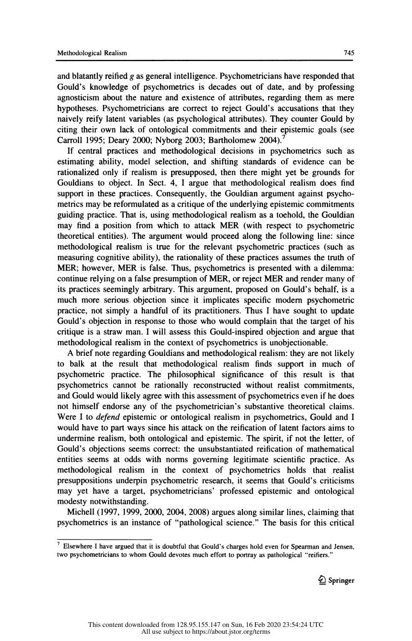and blatantly reified  $g$  as general intelligence. Psychometricians have responded that Gould's knowledge of psychometrics is decades out of date, and by professing agnosticism about the nature and existence of attributes, regarding them as mere hypotheses. Psychometricians are correct to reject Gould's accusations that they naively reify latent variables (as psychological attributes). They counter Gould by naively reify latent variables (as psychological attributes). They counter Gould by<br>citing their own lack of ontological commitments and their epistemic goals (see<br>Corroll 1005: Deem: 2000: Nubers 2003: Bertholomew: 2004) citing their own lack of ontological commitments and their epistemic goals (see<br>Carroll 1995; Deary 2000; Nyborg 2003; Bartholomew 2004).<sup>7</sup><br>If central proctices and methodological decisions in psychometrics such as

rroll 1995; Deary 2000; Nyborg 2003; Bartholomew 2004).'<br>If central practices and methodological decisions in psychometrics such as<br>imating ability, model selection, and shifting standards of evidence can be If central practices and methodological decisions in psychometrics such as<br>estimating ability, model selection, and shifting standards of evidence can be<br>rationalized only if realism is presupposed, then there might ust be estimating ability, model selection, and shifting standards of evidence can be rationalized only if realism is presupposed, then there might yet be grounds for Gouldians to object. In Sect. 4, I argue that methodological realism does find support in these practices. Consequently, the Gouldian argument against psycho metrics may be reformulated as a critique of the underlying epistemic commitments guiding practice. That is, using methodological realism as a toehold, the Gouldian may find a position from which to attack MER (with respect to psychometric theoretical entities). The argument would proceed along the following line: since theoretical entities). The argument would proceed along the following line: since<br>methodological realism is true for the relevant psychometric practices (such as<br>measuring cognitive ability), the rationality of these proct measuring cognitive ability), the rationality of these practices assumes the truth of MER; however, MER is false. Thus, psychometrics is presented with a dilemma: measuring cognitive ability), the rationality of these practices assumes the truth of<br>MER; however, MER is false. Thus, psychometrics is presented with a dilemma:<br>continue relying on a false presumption of MEP, or reject M continue relying on a false presumption of MER, or reject MER and render many of its practices seemingly arbitrary. This argument, proposed on Gould's behalf, is a its practices seemingly arbitrary. This argument, proposed on Gould's behalf, is a<br>much more serious objection since it implicates specific modern psychometric<br>prectice not simply a bandful of its practitioners. Thus I hav practice, not simply a handful of its practitioners. Thus I have sought to update Gould's objection in response to those who would complain that the target of his critique is a straw man. I will assess this Gould-inspired objection and argue that methodological realism in the context of psychometrics is unobjectionable.

A brief note regarding Gouldians and methodological realism: they are not likely to balk at the result that methodological realism finds support in much of A brief note regarding Gouldians and methodological realism: they are not likely<br>to balk at the result that methodological realism finds support in much of<br>newchaptric, practice. The philosophical significance of this resu to balk at the result that methodological realism finds support in much of psychometric practice. The philosophical significance of this result is that psychometries cannot be rationally reconstructed without realist commi psychometric practice. The philosophical significance of this result is that psychometrics cannot be rationally reconstructed without realist commitments, and Gould would likely agree with this assessment of psychometrics even if he does not himself endorse any of the psychometrician's substantive theoretical claims. Were I to *defend* epistemic or ontological realism in psychometrics, Gould and I would have to part ways since his attack on the reification of latent factors aims to undermine realism, both ontological and epistemic. The spirit, if not the letter, of would have to part ways since his attack on the reification of latent factors aims to<br>undermine realism, both ontological and epistemic. The spirit, if not the letter, of<br>Gould's objections seems correct: the unsubstantiat Gould's objections seems correct: the unsubstantiated reification of mathematical entities seems at odds with norms governing legitimate scientific practice. As Gould's objections seems correct: the unsubstantiated reification of mathematical<br>entities seems at odds with norms governing legitimate scientific practice. As<br>mathodological, realism in the context of neuchametries helds entities seems at odds with norms governing legitimate scientific practice. As<br>methodological realism in the context of psychometrics holds that realist<br>presuppositions undernin psychometric recepts it seems that Gould's c methodological realism in the context of psychometrics holds that realist<br>presuppositions underpin psychometric research, it seems that Gould's criticisms<br>may yet have a terrat payabometricians' professed epistemia and ort presuppositions underpin psychometric research, it seems that Gould's criticisms<br>may yet have a target, psychometricians' professed epistemic and ontological<br>modesty notwithstanding may yet have a target, psychometricians' professed epistemic and ontological modesty notwithstanding.<br>Michell (1997, 1999, 2000, 2004, 2008) argues along similar lines, claiming that

desty notwithstanding.<br>Michell (1997, 1999, 2000, 2004, 2008) argues along similar lines, claiming that<br>cohometries is an instance of "pathological science." The basis for this critical psychometrics is an instance of "pathological science." The basis for this critical

 $\mathcal{D}$  Springer

 $<sup>7</sup>$  Elsewhere I have argued that it is doubtful that Gould's charges hold even for Spearman and Jensen,</sup> two psychometricians to whom Gould devotes much effort to portray as pathological "reifiers."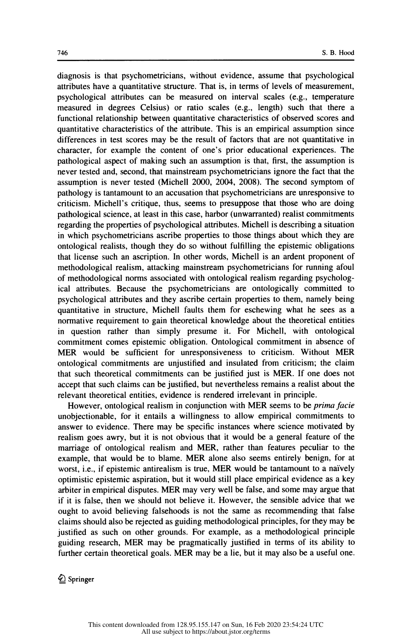S. B. Hood<br>diagnosis is that psychometricians, without evidence, assume that psychological<br>attributes have a quantitative structure. That is, in terms of levels of measurement, S. B. Hood<br>diagnosis is that psychometricians, without evidence, assume that psychological<br>attributes have a quantitative structure. That is, in terms of levels of measurement,<br>psychological attributes can be measured on i diagnosis is that psychometricians, without evidence, assume that psychological attributes have a quantitative structure. That is, in terms of levels of measurement, psychological attributes can be measured on interval sca diagnosis is that psychometricians, without evidence, assume that psychological attributes have a quantitative structure. That is, in terms of levels of measurement, psychological attributes can be measured on interval sca attributes have a quantitative structure. That is, in terms of levels of measurement,<br>psychological attributes can be measured on interval scales (e.g., temperature<br>measured in degrees Celsius) or ratio scales (e.g., lengt psychological attributes can be measured on interval scales (e.g., temperature measured in degrees Celsius) or ratio scales (e.g., length) such that there a functional relationship between quantitative characteristics of o measured in degrees Celsius) or ratio scales (e.g., length) such that there a functional relationship between quantitative characteristics of observed scores and quantitative characteristics of the attribute. This is an em functional relationship between quantitative characteristics of observed scores and quantitative characteristics of the attribute. This is an empirical assumption since differences in test scores may be the result of facto quantitative characteristics of the attribute. This is an empirical assumption since differences in test scores may be the result of factors that are not quantitative in character, for example the content of one's prior ed differences in test scores may be the result of factors that are not quantitative in character, for example the content of one's prior educational experiences. The pathological aspect of making such an assumption is that, annerences in test secres may be the result of necess that the not quantitative in<br>character, for example the content of one's prior educational experiences. The<br>pathological aspect of making such an assumption is that, fi pathological aspect of making such an assumption is that, first, the assumption is<br>never tested and, second, that mainstream psychometricians ignore the fact that the<br>assumption is never tested (Michell 2000, 2004, 2008). never tested and, second, that mainstream psychometricians ignore the fact that the assumption is never tested (Michell 2000, 2004, 2008). The second symptom of pathology is tantamount to an accusation that psychometrician assumption is never tested (Michell 2000, 2004, 2008). The second symptom of pathology is tantamount to an accusation that psychometricians are unresponsive to criticism. Michell's critique, thus, seems to presuppose that pathology is tantamount to an accusation that psychometricians are unresponsive to criticism. Michell's critique, thus, seems to presuppose that those who are doing pathological science, at least in this case, harbor (unwa criticism. Michell's critique, thus, seems to presuppose that those who are doing<br>pathological science, at least in this case, harbor (unwarranted) realist commitments<br>regarding the properties of psychological attributes. pathological science, at least in this case, harbor (unwarranted) realist commitments<br>regarding the properties of psychological attributes. Michell is describing a situation<br>in which psychometricians ascribe properties to regarding the properties of psychological attributes. Michell is describing a situation<br>in which psychometricians ascribe properties to those things about which they are<br>ontological realists, though they do so without fulf in which psychometricians ascribe properties to those things about which they are<br>ontological realists, though they do so without fulfilling the epistemic obligations<br>that license such an ascription. In other words, Michel ontological realists, though they do so without fulfilling the epistemic obligations<br>that license such an ascription. In other words, Michell is an ardent proponent of<br>methodological realism, attacking mainstream psychomet ontological realists, inough they do so while a failing the epistemic conguitons<br>that license such an ascription. In other words, Michell is an ardent proponent of<br>methodological realism, attacking mainstream psychometrici methodological realism, attacking mainstream psychometricians for running afoul<br>of methodological norms associated with ontological realism regarding psycholog-<br>ical attributes. Because the psychometricians are ontological of methodological norms associated with ontological realism regarding psychological attributes. Because the psychometricians are ontologically committed to psychological attributes and they ascribe certain properties to th ical attributes. Because the psychometricians are ontologically committed to psychological attributes and they ascribe certain properties to them, namely being quantitative in structure, Michell faults them for eschewing w ical attributes. Because the psychometricians are ontologically committed to<br>psychological attributes and they ascribe certain properties to them, namely being<br>quantitative in structure, Michell faults them for eschewing w quantitative in structure, Michell faults them for eschewing what he sees as a normative requirement to gain theoretical knowledge about the theoretical entities in question rather than simply presume it. For Michell, with quantitative in structure, Micheli Tautis them for eschewing what he sees as a<br>normative requirement to gain theoretical knowledge about the theoretical entities<br>in question rather than simply presume it. For Michell, with in question rather than simply presume it. For Michell, with ontological commitment comes epistemic obligation. Ontological commitment in absence of MER would be sufficient for unresponsiveness to criticism. Without MER on commitment comes epistemic obligation. Ontological commitment in absence of MER would be sufficient for unresponsiveness to criticism. Without MER ontological commitments are unjustified and insulated from criticism; the c MER would be sufficient for unresponsiveness to criticism. Without MER ontological commitments are unjustified and insulated from criticism; the claim that such theoretical commitments can be justified just is MER. If one ontological commitments are unjustified and insulated from criticism; the claim<br>that such theoretical commitments can be justified just is MER. If one does not<br>accept that such claims can be justified, but nevertheless rem It such theoretical commitments can be justified just is MER. If one does not eept that such claims can be justified, but nevertheless remains a realist about the evant theoretical entities, evidence is rendered irrelevant

accept that such claims can be justified, but nevertheless remains a realist about the relevant theoretical entities, evidence is rendered irrelevant in principle.<br>However, ontological realism in conjunction with MER seems relevant theoretical entities, evidence is rendered irrelevant in principle.<br>However, ontological realism in conjunction with MER seems to be *prima facie*<br>unobjectionable, for it entails a willingness to allow empirical c However, ontological realism in conjunction with MER seems to be *prima facie* unobjectionable, for it entails a willingness to allow empirical commitments to answer to evidence. There may be specific instances where scien mobjectionable, for it entails a willingness to allow empirical commitments to answer to evidence. There may be specific instances where science motivated by realism goes awry, but it is not obvious that it would be a gene answer to evidence. There may be specific instances where science motivated by realism goes awry, but it is not obvious that it would be a general feature of the marriage of ontological realism and MER, rather than feature realism goes awry, but it is not obvious that it would be a general feature of the marriage of ontological realism and MER, rather than features peculiar to the example, that would be to blame. MER alone also seems entirel marriage of ontological realism and MER, rather than features peculiar to the example, that would be to blame. MER alone also seems entirely benign, for at worst, i.e., if epistemic antirealism is true, MER would be tantam example, that would be to blame. MER alone also seems entirely benign, for at worst, i.e., if epistemic antirealism is true, MER would be tantamount to a naïvely optimistic epistemic aspiration, but it would still place em worst, i.e., if epistemic antirealism is true, MER would be tantamount to a naïvely optimistic epistemic aspiration, but it would still place empirical evidence as a key arbiter in empirical disputes. MER may very well be optimistic epistemic aspiration, but it would still place empirical evidence as a key arbiter in empirical disputes. MER may very well be false, and some may argue that if it is false, then we should not believe it. Howeve arbiter in empirical disputes. MER may very well be false, and some may argue that<br>if it is false, then we should not believe it. However, the sensible advice that we<br>ought to avoid believing falsehoods is not the same as about in empirical usputes. MEX may very well be false, and some may argue that<br>if it is false, then we should not believe it. However, the sensible advice that we<br>ought to avoid believing falsehoods is not the same as rec ought to avoid believing falsehoods is not the same as recommending that false<br>claims should also be rejected as guiding methodological principles, for they may be<br>justified as such on other grounds. For example, as a meth claims should also be rejected as guiding methodological principles, for they may be justified as such on other grounds. For example, as a methodological principle guiding research, MER may be pragmatically justified in te

 $\mathcal{D}$  Springer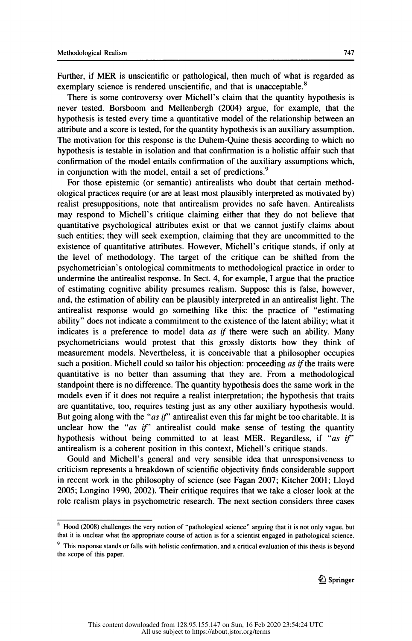Further, if MER is unscientific or pathological, then much of what is regarded as exemplary science is rendered unscientific, and that is unacceptable. $8<sup>8</sup>$ 

There is some controversy over Michell's claim that the quantity hypothesis is never tested. Borsboom and Mellenbergh (2004) argue, for example, that the hypothesis is tested every time a quantitative model of the relationship between an attribute and a score is tested, for the quantity hypothesis is an auxiliary assumption. The motivation for this response is the Duhem-Quine thesis according to which no hypothesis is testable in isolation and that confirmation is a holistic affair such that confirmation of the model entails confirmation of the auxiliary assumptions which, in conjunction with the model, entail a set of predictions.<sup>9</sup>

 For those epistemic (or semantic) antirealists who doubt that certain method ological practices require (or are at least most plausibly interpreted as motivated by) realist presuppositions, note that antirealism provides no safe haven. Antirealists may respond to Michell's critique claiming either that they do not believe that quantitative psychological attributes exist or that we cannot justify claims about such entities; they will seek exemption, claiming that they are uncommitted to the existence of quantitative attributes. However, Michell's critique stands, if only at the level of methodology. The target of the critique can be shifted from the existence of quantitative attributes. However, Michell's critique stands, if only at<br>the level of methodology. The target of the critique can be shifted from the<br>neuchametrician's ortological commitments to methodological psychometrician's ontological commitments to methodological practice in order to undermine the antirealist response. In Sect. 4, for example, I argue that the practice of estimating cognitive ability presumes realism. Suppose this is false, however, and, the estimation of ability can be plausibly interpreted in an antirealist light. The antirealist response would go something like this: the practice of "estimating ability" does not indicate a commitment to the existence of the latent ability; what it indicates is a preference to model data  $as$  if there were such an ability. Many psychometricians would protest that this grossly distorts how they think of measurement models. Nevertheless, it is conceivable that a philosopher occupies such a position. Michell could so tailor his objection: proceeding as if the traits were quantitative is no better than assuming that they are. From a methodological standpoint there is no difference. The quantity hypothesis does the same work in the models even if it does not require a realist interpretation; the hypothesis that traits are quantitative, too, requires testing just as any other auxiliary hypothesis would. But going along with the "*as if*" antirealist even this far might be too charitable. It is unclear how the "*as if*" antirealist could make sense of testing the quantity But going along with the "*as if*" antirealist even this far might be too charitable. It is<br>unclear how the "*as if*" antirealist could make sense of testing the quantity<br>hypothesis without being committed to at least MEP unclear how the "*as if*" antirealist could make sense of testing the quantity<br>hypothesis without being committed to at least MER. Regardless, if "*as if*"<br>antirealism is a coherent position in this context. Michell's cri hypothesis without being committed to at least MER. Regardless, if "as if" antirealism is a coherent position in this context, Michell's critique stands.<br>Gould and Michell's general and very sensible idea that unresponsive

irealism is a coherent position in this context, Michell's critique stands.<br>Gould and Michell's general and very sensible idea that unresponsiveness to<br>ticism represents a breakdown of scientific objectivity finds consider criticism represents a breakdown of scientific objectivity finds considerable support in recent work in the philosophy of science (see Fagan 2007; Kitcher 2001; Lloyd 2005; Longino 1990, 2002). Their critique requires that we take a closer look at the role realism plays in psychometric research. The next section considers three cases

 $\textcircled{2}$  Springer

 <sup>8</sup> Hood (2008) challenges the very notion of "pathological science" arguing that it is not only vague, but that it is unclear what the appropriate course of action is for a scientist engaged in pathological science.

<sup>9</sup> This response stands or falls with holistic confirmation, and a critical evaluation of this thesis is beyond<br>9 This response stands or falls with holistic confirmation, and a critical evaluation of this thesis is beyond This response stands or falls with holistic confirmation, and a critical evalua<br>the scope of this paper.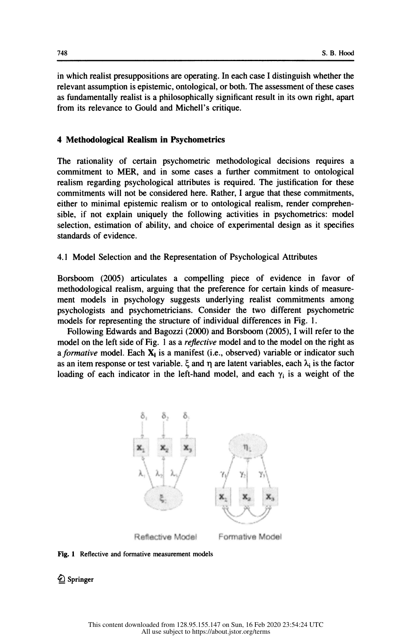S. B. Hood<br>in which realist presuppositions are operating. In each case I distinguish whether the<br>relevant assumption is epistemic, ontological, or both. The assessment of these cases The S. B. Hood<br>in which realist presuppositions are operating. In each case I distinguish whether the<br>relevant assumption is epistemic, ontological, or both. The assessment of these cases<br>as fundamentally realist is a phil in which realist presuppositions are operating. In each case I distinguish whether the relevant assumption is epistemic, ontological, or both. The assessment of these cases as fundamentally realist is a philosophically sig in which realist presuppositions are operating. In each case I distinguish whether the relevant assumption is epistemic, ontological, or both. The assessment of these cases as fundamentally realist is a philosophically sig A Methodological Realism in Psychometrics<br>
The methodological Realism in Psychometrics<br>
The methodological Realism in Psychometrics

4 Methodological Realism in Psychometrics<br>The rationality of certain psychometric methodological decisions requires a<br>commitment to MER, and in some cases a further commitment to ontological 4 Methodological Realism in Psychometrics<br>The rationality of certain psychometric methodological decisions requires a<br>commitment to MER, and in some cases a further commitment to ontological<br>realism regarding psychological The rationality of certain psychometric methodological decisions requires a commitment to MER, and in some cases a further commitment to ontological realism regarding psychological attributes is required. The justification The rationality of certain psychometric methodological decisions requires a<br>commitment to MER, and in some cases a further commitment to ontological<br>realism regarding psychological attributes is required. The justification commitment to MER, and in some cases a further commitment to ontological<br>realism regarding psychological attributes is required. The justification for these<br>commitments will not be considered here. Rather, I argue that the selection, estimation of ability, and choice effective in psychological attributes is required. The justification for these commitments will not be considered here. Rather, I argue that these commitments, either to minimal commitments will not be considered here. Rather, I argue that these commitments, either to minimal epistemic realism or to ontological realism, render comprehensible, if not explain uniquely the following activities in psy standards of evidence.

#### 4. 1 Model Selection and the Representation of Psychological Attributes

 Borsboom (2005) articulates a compelling piece of evidence in favor of methodological realism, arguing that the preference for certain kinds of measure ment models in psychology suggests underlying realist commitments among psychologists and psychometricians. Consider the two different psychometric models for representing the structure of individual differences in Fig. 1.

 Following Edwards and Bagozzi (2000) and Borsboom (2005), I will refer to the model on the left side of Fig. 1 as a *reflective* model and to the model on the right as a formative model. Each  $X_i$  is a manifest (i.e., observed) variable or indicator such as an item response or test variable.  $\xi$  and  $\eta$  are latent variables, each  $\lambda_i$  is the factor loading of each indicator in the left-hand model, and each  $\gamma_i$  is a weight of the



Fig. 1 Reflective and formative measurement models

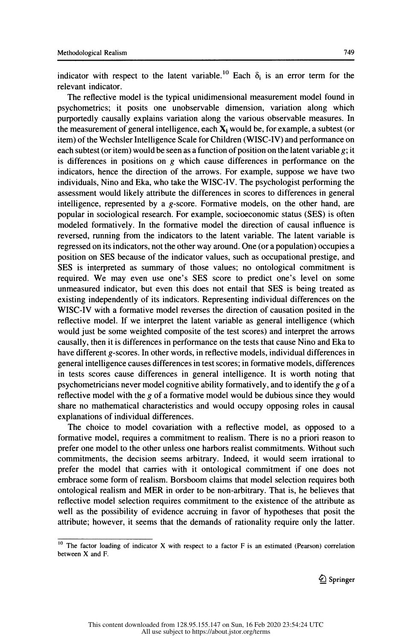indicator with respect to the latent variable.<sup>10</sup> Each  $\delta_i$  is an error term for the relevant indicator.

 The reflective model is the typical unidimensional measurement model found in psychometrics; it posits one unobservable dimension, variation along which purportedly causally explains variation along the various observable measures. In the measurement of general intelligence, each  $X_i$  would be, for example, a subtest (or item) of the Wechsler Intelligence Scale for Children (WISC-IV) and performance on each subtest (or item) would be seen as a function of position on the latent variable g; it is differences in positions on  $g$  which cause differences in performance on the indicators, hence the direction of the arrows. For example, suppose we have two individuals, Nino and Eka, who take the WISC-IV. The psychologist performing the assessment would likely attribute the differences in scores to differences in general intelligence, represented by a g-score. Formative models, on the other hand, are popular in sociological research. For example, socioeconomic status (SES) is often modeled formatively. In the formative model the direction of causal influence is reversed, running from the indicators to the latent variable. The latent variable is regressed on its indicators, not the other way around. One (or a population) occupies a position on SES because of the indicator values, such as occupational prestige, and SES is interpreted as summary of those values; no ontological commitment is required. We may even use one's SES score to predict one's level on some unmeasured indicator, but even this does not entail that SES is being treated as existing independently of its indicators. Representing individual differences on the WISC-IV with a formative model reverses the direction of causation posited in the reflective model. If we interpret the latent variable as general intelligence (which would just be some weighted composite of the test scores) and interpret the arrows causally, then it is differences in performance on the tests that cause Nino and Eka to have different g-scores. In other words, in reflective models, individual differences in general intelligence causes differences in test scores; in formative models, differences in tests scores cause differences in general intelligence. It is worth noting that psychometricians never model cognitive ability formatively, and to identify the g of a reflective model with the g of a formative model would be dubious since they would share no mathematical characteristics and would occupy opposing roles in causal explanations of individual differences.

 The choice to model covariation with a reflective model, as opposed to a formative model, requires a commitment to realism. There is no a priori reason to prefer one model to the other unless one harbors realist commitments. Without such commitments, the decision seems arbitrary. Indeed, it would seem irrational to prefer the model that carries with it ontological commitment if one does not embrace some form of realism. Borsboom claims that model selection requires both ontological realism and MER in order to be non-arbitrary. That is, he believes that reflective model selection requires commitment to the existence of the attribute as well as the possibility of evidence accruing in favor of hypotheses that posit the attribute; however, it seems that the demands of rationality require only the latter.

<sup>&</sup>lt;sup>10</sup> The factor loading of indicator X with respect to a factor F is an estimated (Pearson) correlation between X and F.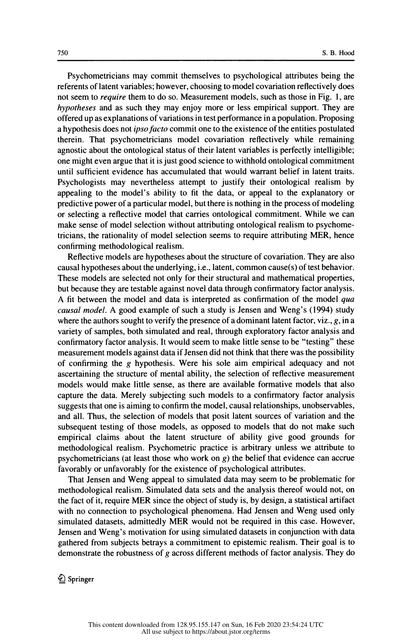S. B. Hood<br>Psychometricians may commit themselves to psychological attributes being the<br>erents of latent variables; however, choosing to model covariation reflectively does For S. B. Hood<br>Psychometricians may commit themselves to psychological attributes being the<br>referents of latent variables; however, choosing to model covariation reflectively does<br>not seem to *require* them to do so. Measu Psychometricians may commit themselves to psychological attributes being the referents of latent variables; however, choosing to model covariation reflectively does not seem to *require* them to do so. Measurement models, Psychometricians may commit themselves to psychological attributes being the referents of latent variables; however, choosing to model covariation reflectively does not seem to *require* them to do so. Measurement models, referents of latent variables; however, choosing to model covariation reflectively does<br>not seem to *require* them to do so. Measurement models, such as those in Fig. 1, are<br>*hypotheses* and as such they may enjoy more or not seem to *require* them to do so. Measurement models, such as those in Fig. 1, are *hypotheses* and as such they may enjoy more or less empirical support. They are offered up as explanations of variations in test perfor *hypotheses* and as such they may enjoy more or less empirical support. They are offered up as explanations of variations in test performance in a population. Proposing a hypothesis does not *ipso facto* commit one to the offered up as explanations of variations in test performance in a population. Proposing<br>a hypothesis does not *ipso facto* commit one to the existence of the entities postulated<br>therein. That psychometricians model covaria a hypothesis does not *ipso facto* commit one to the existence of the entities postulated therein. That psychometricians model covariation reflectively while remaining agnostic about the ontological status of their latent until sufficient evidence has accumulated that would warrant belief in latent traits. Psychologists may nevertheless attempt to justify their ontological realism by appealing to the model's ability to fit the data, or appeal to the explanatory or predictive power of a particular model, but there is nothing in the process of modeling or selecting a reflective model that carries ontological commitment. While we can make sense of model selection without attributing ontological realism to psychome tricians, the rationality of model selection seems to require attributing MER, hence confirming methodological realism.

 Reflective models are hypotheses about the structure of covariation. They are also causal hypotheses about the underlying, i.e., latent, common cause(s) of test behavior. These models are selected not only for their structural and mathematical properties, but because they are testable against novel data through confirmatory factor analysis. A fit between the model and data is interpreted as confirmation of the model qua causal model. A good example of such a study is Jensen and Weng's (1994) study where the authors sought to verify the presence of a dominant latent factor, viz.,  $g$ , in a variety of samples, both simulated and real, through exploratory factor analysis and confirmatory factor analysis. It would seem to make little sense to be "testing" these measurement models against data if Jensen did not think that there was the possibility of confirming the g hypothesis. Were his sole aim empirical adequacy and not ascertaining the structure of mental ability, the selection of reflective measurement models would make little sense, as there are available formative models that also capture the data. Merely subjecting such models to a confirmatory factor analysis suggests that one is aiming to confirm the model, causal relationships, unobservables, and all. Thus, the selection of models that posit latent sources of variation and the subsequent testing of those models, as opposed to models that do not make such empirical claims about the latent structure of ability give good grounds for methodological realism. Psychometric practice is arbitrary unless we attribute to psychometricians (at least those who work on g) the belief that evidence can accrue favorably or unfavorably for the existence of psychological attributes.

 That Jensen and Weng appeal to simulated data may seem to be problematic for methodological realism. Simulated data sets and the analysis thereof would not, on the fact of it, require MER since the object of study is, by design, a statistical artifact with no connection to psychological phenomena. Had Jensen and Weng used only simulated datasets, admittedly MER would not be required in this case. However, Jensen and Weng' s motivation for using simulated datasets in conjunction with data gathered from subjects betrays a commitment to epistemic realism. Their goal is to demonstrate the robustness of g across different methods of factor analysis. They do

 $\textcircled{2}$  Springer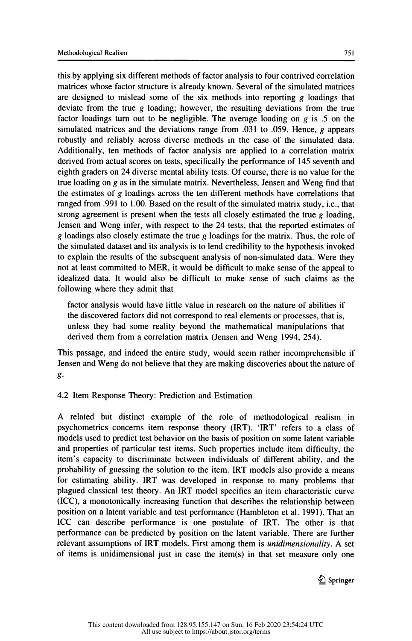this by applying six different methods of factor analysis to four contrived correlation matrices whose factor structure is already known. Several of the simulated matrices are designed to mislead some of the six methods into reporting  $g$  loadings that matrices whose factor structure is already known. Several of the simulated matrices<br>are designed to mislead some of the six methods into reporting g loadings that<br>deviate from the true g loading: however, the resulting dev deviate from the true  $g$  loading; however, the resulting deviations from the true factor loadings turn out to be negligible. The average loading on  $g$  is .5 on the simulated matrices and the deviations range from  $.031$  to  $.059$ . Hence, g appears robustly and reliably across diverse methods in the case of the simulated data. simulated matrices and the deviations range from .031 to .059. Hence, g appears<br>robustly and reliably across diverse methods in the case of the simulated data.<br>Additionally, ten methods of fector analysis are applied to a Additionally, ten methods of factor analysis are applied to a correlation matrix derived from actual scores on tests, specifically the performance of 145 seventh and eighth graders on 24 diverse mental ability tests. Of course, there is no value for the true loading on  $g$  as in the simulate matrix. Nevertheless, Jensen and Weng find that the estimates of g loadings across the ten different methods have correlations that ranged from .991 to 1.00. Based on the result of the simulated matrix study, i.e., that strong agreement is present when the tests all closely estimated the true  $g$  loading, Jensen and Weng infer, with respect to the 24 tests, that the reported estimates of g loadings also closely estimate the true g loadings for the matrix. Thus, the role of the simulated dataset and its analysis is to lend credibility to the hypothesis invoked to explain the results of the subsequent analysis of non-simulated data. Were they not at least committed to MER, it would be difficult to make sense of the appeal to idealized data. It would also be difficult to make sense of such claims as the

following where they admit that

 factor analysis would have little value in research on the nature of abilities if the discovered factors did not correspond to real elements or processes, that is, unless they had some reality beyond the mathematical manipulations that derived them from a correlation matrix (Jensen and Weng 1994, 254).

 This passage, and indeed the entire study, would seem rather incomprehensible if Jensen and Weng do not believe that they are making discoveries about the nature of g-

## 4.2 Item Response Theory: Prediction and Estimation

 A related but distinct example of the role of methodological realism in psychometrics concerns item response theory (IRT). 'IRT' refers to a class of models used to predict test behavior on the basis of position on some latent variable and properties of particular test items. Such properties include item difficulty, the item's capacity to discriminate between individuals of different ability, and the probability of guessing the solution to the item. IRT models also provide a means for estimating ability. IRT was developed in response to many problems that plagued classical test theory. An IRT model specifies an item characteristic curve (ICC), a monotonically increasing function that describes the relationship between position on a latent variable and test performance (Hambleton et al. 1991). That an ICC can describe performance is one postulate of IRT. The other is that performance can be predicted by position on the latent variable. There are further relevant assumptions of IRT models. First among them is unidimensionality. A set of items is unidimensional just in case the item(s) in that set measure only one

 $\textcircled{2}$  Springer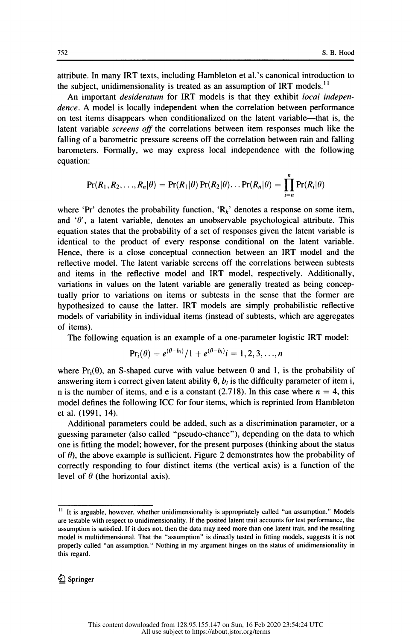S. B. Hood<br>attribute. In many IRT texts, including Hambleton et al.'s canonical introduction to<br>the subject, unidimensionality is treated as an assumption of IRT models.<sup>11</sup> S. B. Hood<br>attribute. In many IRT texts, including Hambleton et al.'s canonical introduction to<br>the subject, unidimensionality is treated as an assumption of IRT models.<sup>11</sup><br>An important *desideratum* for IRT models is tha

Fibute. In many IRT texts, including Hambleton et al.'s canonical introduction to subject, unidimensionality is treated as an assumption of IRT models.<sup>11</sup><br>An important *desideratum* for IRT models is that they exhibit *lo* attribute. In many IRT texts, including Hambleton et al.'s canonical introduction to<br>the subject, unidimensionality is treated as an assumption of IRT models.<sup>11</sup><br>An important *desideratum* for IRT models is that they exhi the subject, unidimensionality is treated as an assumption of IRT models.<sup>11</sup><br>An important *desideratum* for IRT models is that they exhibit *local indepen-*<br>*dence*. A model is locally independent when the correlation bet An important *desideratum* for IRT models is that they exhibit *local independence*. A model is locally independent when the correlation between performance on test items disappears when conditionalized on the latent varia dence. A model is locally independent when the correlation between performance<br>on test items disappears when conditionalized on the latent variable—that is, the<br>latent variable *screens off* the correlations between item r barometers. For model is locally independent when the correlation between performance on test items disappears when conditionalized on the latent variable—that is, the latent variable *screens off* the correlations between equation:

$$
Pr(R_1, R_2,..., R_n | \theta) = Pr(R_1 | \theta) Pr(R_2 | \theta) ... Pr(R_n | \theta) = \prod_{i=n}^n Pr(R_i | \theta)
$$

where 'Pr' denotes the probability function, ' $R_k$ ' denotes a response on some item, and  $\theta$ , a latent variable, denotes an unobservable psychological attribute. This equation states that the probability of a set of responses given the latent variable is identical to the product of every response conditional on the latent variable. Hence, there is a close conceptual connection between an IRT model and the reflective model. The latent variable screens off the correlations between subtests and items in the reflective model and IRT model, respectively. Additionally, variations in values on the latent variable are generally treated as being concep tually prior to variations on items or subtests in the sense that the former are hypothesized to cause the latter. IRT models are simply probabilistic reflective models of variability in individual items (instead of subtests, which are aggregates of items).

The following equation is an example of a one-parameter logistic IRT model:

$$
Pr_i(\theta) = e^{(\theta - b_i)}/1 + e^{(\theta - b_i)}i = 1, 2, 3, ..., n
$$

where  $Pr_i(\theta)$ , an S-shaped curve with value between 0 and 1, is the probability of answering item i correct given latent ability  $\theta$ ,  $b_i$  is the difficulty parameter of item i, n is the number of items, and e is a constant (2.718). In this case where  $n = 4$ , this model defines the following ICC for four items, which is reprinted from Hambleton et al. (1991, 14).

 Additional parameters could be added, such as a discrimination parameter, or a guessing parameter (also called "pseudo-chance"), depending on the data to which one is fitting the model; however, for the present purposes (thinking about the status of  $\theta$ ), the above example is sufficient. Figure 2 demonstrates how the probability of correctly responding to four distinct items (the vertical axis) is a function of the level of  $\theta$  (the horizontal axis).

<sup>&</sup>lt;sup>11</sup> It is arguable, however, whether unidimensionality is appropriately called "an assumption." Models are testable with respect to unidimensionality. If the posited latent trait accounts for test performance, the assumption is satisfied. If it does not, then the data may need more than one latent trait, and the resulting model is multidimensional. That the "assumption" is directly tested in fitting models, suggests it is not properly called "an assumption." Nothing in my argument hinges on the status of unidimensionality in this regard.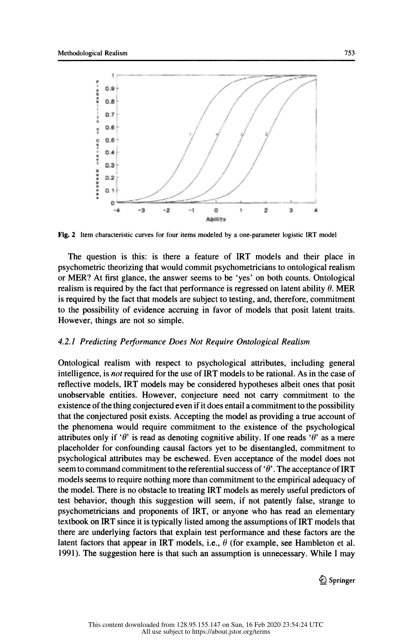

Fig. 2 Item characteristic curves for four items modeled by a one-parameter logistic IRT model

The question is this: is there a feature of IRT models and their place in chapter of the state of IRT models and their place in The question is this: is there a feature of IRT models and their place in psychometric theorizing that would commit psychometricians to ontological realism or MER? At first glance, the answer seems to be 'yes' on both counts. Ontological realism is required by the fact that performance is regressed on latent ability  $\theta$ . MER is required by the fact that models are subject to testing, and, therefore, commitment is required by the fact that models are subject to testing, and, therefore, commitment<br>to the possibility of evidence accruing in favor of models that posit latent traits.<br>However, things are not so simple. to the possibility of evidence accruing in favor of models that posit latent traits.<br>However, things are not so simple.

# 4.2.1 Predicting Performance Does Not Require Ontological Realism

Ontological realism with respect to psychological attributes, including general<br>intelligance is not required for the use of IBT models to be rational. As in the case of Ontological realism with respect to psychological attributes, including general intelligence, is *not* required for the use of IRT models to be rational. As in the case of reflective models, IRT models may be considered hypotheses albeit ones that posit unobservable entities. However, conjecture need not carry commitment to the reflective models, IRT models may be considered hypotheses albeit ones that posit<br>unobservable entities. However, conjecture need not carry commitment to the<br>existence of the thing conjectured aven if it does antail a comm existence of the thing conjectured even if it does entail a commitment to the possibility that the conjectured posit exists. Accepting the model as providing a true account of the phenomena would require commitment to the existence of the psychological attributes only if ' $\theta$ ' is read as denoting cognitive ability. If one reads ' $\theta$ ' as a mere placeholder for confounding causal factors yet to be disentangled, commitment to psychological attributes may be eschewed. Even acceptance of the model does not seem to command commitment to the referential success of  $\theta$ . The acceptance of IRT models seems to require nothing more than commitment to the empirical adequacy of the model. There is no obstacle to treating IRT models as merely useful predictors of test behavior, though this suggestion will seem, if not patently false, strange to psychometricians and proponents of IRT, or anyone who has read an elementary textbook on IRT since it is typically listed among the assumptions of IRT models that there are underlying factors that explain test performance and these factors are the latent factors that appear in IRT models, i.e.,  $\theta$  (for example, see Hambleton et al. 1991). The suggestion here is that such an assumption is unnecessary. While I may

 $\mathcal{Q}$  Springer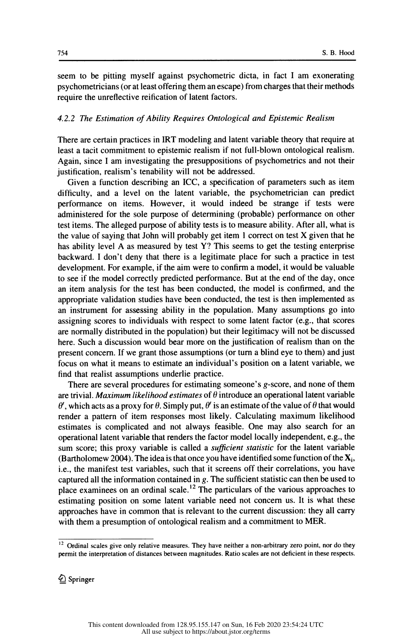S. B. Hood<br>seem to be pitting myself against psychometric dicta, in fact I am exonerating<br>psychometricians (or at least offering them an escape) from charges that their methods s. B. Hood<br>seem to be pitting myself against psychometric dicta, in fact I am exonerating<br>psychometricians (or at least offering them an escape) from charges that their methods<br>require the unreflective reification of laten seem to be pitting myself against psychometric dicta, in fact I am exonerating<br>psychometricians (or at least offering them an escape) from charges that their methods<br>require the unreflective reification of latent factors. psychometricians (or at least offering them an escape) from charges that their methods<br>require the unreflective reification of latent factors.<br>4.2.2 The Estimation of Ability Requires Ontological and Epistemic Realism

4.2.2 The Estimation of Ability Requires Ontological and Epistemic Realism<br>There are certain practices in IRT modeling and latent variable theory that require at<br>least a tacit commitment to epistemic realism if not full-bl 4.2.2 The Estimation of Ability Requires Ontological and Epistemic Realism<br>There are certain practices in IRT modeling and latent variable theory that require at<br>least a tacit commitment to epistemic realism if not full-bl There are certain practices in IRT modeling and latent variable theory that require at least a tacit commitment to epistemic realism if not full-blown ontological realism. Again, since I am investigating the presupposition There are certain practices in IRT modeling and latent variable theory that require at least a tacit commitment to epistemic realism if not full-blown ontological realism.<br>Again, since I am investigating the presupposition st a tacit commitment to epistemic realism if not full-blown ontological realism.<br>ain, since I am investigating the presuppositions of psychometrics and not their<br>tification, realism's tenability will not be addressed.<br>Giv

Again, since I am investigating the presuppositions of psychometrics and not their justification, realism's tenability will not be addressed.<br>Given a function describing an ICC, a specification of parameters such as item d regain, since 1 am investigating the presuppositions of psychometries and not then<br>justification, realism's tenability will not be addressed.<br>Given a function describing an ICC, a specification of parameters such as item<br>d Given a function describing an ICC, a specification of parameters such as item<br>difficulty, and a level on the latent variable, the psychometrician can predict<br>performance on items. However, it would indeed be strange if te difficulty, and a level on the latent variable, the psychometrician can predict<br>performance on items. However, it would indeed be strange if tests were<br>administered for the sole purpose of determining (probable) performanc performance on items. However, it would indeed be strange if tests were<br>administered for the sole purpose of determining (probable) performance on other<br>test items. The alleged purpose of ability tests is to measure abilit administered for the sole purpose of determining (probable) performance on other<br>test items. The alleged purpose of ability tests is to measure ability. After all, what is<br>the value of saying that John will probably get it test items. The alleged purpose of ability tests is to measure ability. After all, what is<br>the value of saying that John will probably get item 1 correct on test X given that he<br>has ability level A as measured by test Y? T the value of saying that John will probably get item 1 correct on test X given that he<br>has ability level A as measured by test Y? This seems to get the testing enterprise<br>backward. I don't deny that there is a legitimate p has ability level A as measured by test Y? This seems to get the testing enterprise backward. I don't deny that there is a legitimate place for such a practice in test development. For example, if the aim were to confirm a backward. I don't deny that there is a legitimate place for such a practice in test development. For example, if the aim were to confirm a model, it would be valuable to see if the model correctly predicted performance. Bu development. For example, if the aim were to confirm a model, it would be valuable<br>to see if the model correctly predicted performance. But at the end of the day, once<br>an item analysis for the test has been conducted, the to see if the model correctly predicted performance. But at the end of the day, once<br>an item analysis for the test has been conducted, the model is confirmed, and the<br>appropriate validation studies have been conducted, the an item analysis for the test has been conducted, the model is confirmed, and the appropriate validation studies have been conducted, the test is then implemented as an instrument for assessing ability in the population. M appropriate validation studies have been conducted, the test is then implemented as<br>an instrument for assessing ability in the population. Many assumptions go into<br>assigning scores to individuals with respect to some laten an instrument for assessing ability in the population. Many assumptions go into assigning scores to individuals with respect to some latent factor (e.g., that scores are normally distributed in the population) but their le assigning scores to individuals with respect to some latent factor (e.g., that scores<br>are normally distributed in the population) but their legitimacy will not be discussed<br>here. Such a discussion would bear more on the ju are normally distributed in the population) but their legitimacy will not be discussed<br>here. Such a discussion would bear more on the justification of realism than on the<br>present concern. If we grant those assumptions (or here. Such a discussion would bear more on the justification of realism than on the present concern. If we grant those assumptions (or turn a blind eye to them) and just focus on what it means to estimate an individual's p Exercise are several procedures assumptions (or turn a blind eye to them) and just<br>tus on what it means to estimate an individual's position on a latent variable, we<br>d that realist assumptions underlie practice.<br>There are

focus on what it means to estimate an individual's position on a latent variable, we<br>find that realist assumptions underlie practice.<br>There are several procedures for estimating someone's g-score, and none of them<br>are tri find that realist assumptions underlie practice.<br>There are several procedures for estimating someone's g-score, and none of them<br>are trivial. *Maximum likelihood estimates* of  $\theta$  introduce an operational latent variable There are several procedures for estimating someone's g-score, and none of them<br>are trivial. *Maximum likelihood estimates* of  $\theta$  introduce an operational latent variable<br> $\theta'$ , which acts as a proxy for  $\theta$ . Simply pu are trivial. *Maximum likelihood estimates* of  $\theta$  introduce an operational latent variable  $\theta'$ , which acts as a proxy for  $\theta$ . Simply put,  $\theta'$  is an estimate of the value of  $\theta$  that would render a pattern of item  $\theta'$ , which acts as a proxy for  $\theta$ . Simply put,  $\theta'$  is an estimate of the value of  $\theta$  that would<br>render a pattern of item responses most likely. Calculating maximum likelihood<br>estimates is complicated and not alway render a pattern of item responses most likely. Calculating maximum likelihood estimates is complicated and not always feasible. One may also search for an operational latent variable that renders the factor model locally estimates is complicated and not always feasible. One may also search for an operational latent variable that renders the factor model locally independent, e.g., the sum score; this proxy variable is called a *sufficient s* operational latent variable that renders the factor model locally independent, e.g., the<br>sum score; this proxy variable is called a *sufficient statistic* for the latent variable<br>(Bartholomew 2004). The idea is that once y sum score; this proxy variable is called a *sufficient statistic* for the latent variable (Bartholomew 2004). The idea is that once you have identified some function of the  $X_i$ , i.e., the manifest test variables, such th (Bartholomew 2004). The idea is that once you have identified some function of the  $X_i$ , i.e., the manifest test variables, such that it screens off their correlations, you have captured all the information contained in g i.e., the manifest test variables, such that it screens off their correlations, you have captured all the information contained in g. The sufficient statistic can then be used to place examinees on an ordinal scale.<sup>12</sup> Th captured all the information contained in g. The sufficient statistic can then be used to place examinees on an ordinal scale.<sup>12</sup> The particulars of the various approaches to estimating position on some latent variable ne place examinees on an ordinal scale.<sup>12</sup> The particulars of the various approaches to estimating position on some latent variable need not concern us. It is what these approaches have in common that is relevant to the curr

permit the interpretation of distances between magnitudes. Ratio scales are not deficient in these respects. with them a presumption of ontological realism and a commitment to MER.<br> $\frac{12}{12}$  Ordinal scales give only relative measures. They have neither a non-arbitrary zero point, nor do they permit the interpretation of distan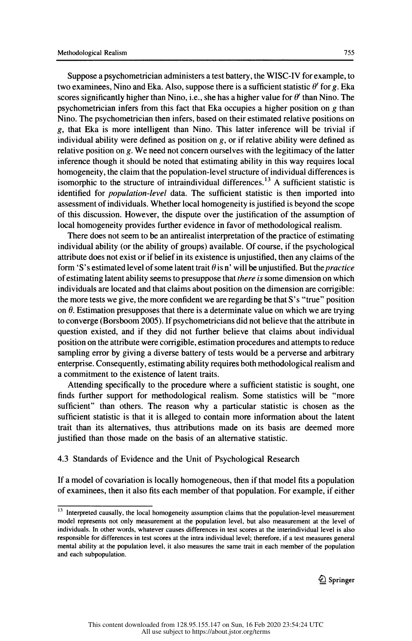Suppose a psychometrician administers a test battery, the WISC-IV for example, to two examinees, Nino and Eka. Also, suppose there is a sufficient statistic  $\theta'$  for g. Eka scores significantly higher than Nino, i.e., she has a higher value for  $\theta'$  than Nino. The psychometrician infers from this fact that Eka occupies a higher position on g than Nino. The psychometrician then infers, based on their estimated relative positions on g, that Eka is more intelligent than Nino. This latter inference will be trivial if individual ability were defined as position on  $g$ , or if relative ability were defined as relative position on g. We need not concern ourselves with the legitimacy of the latter inference though it should be noted that estimating ability in this way requires local homogeneity, the claim that the population-level structure of individual differences is isomorphic to the structure of intraindividual differences.<sup>13</sup> A sufficient statistic is identified for *population-level* data. The sufficient statistic is then imported into assessment of individuals. Whether local homogeneity is justified is beyond the scope of this discussion. However, the dispute over the justification of the assumption of local homogeneity provides further evidence in favor of methodological realism.

 There does not seem to be an antirealist interpretation of the practice of estimating individual ability (or the ability of groups) available. Of course, if the psychological attribute does not exist or if belief in its existence is unjustified, then any claims of the form 'S's estimated level of some latent trait  $\theta$  is n' will be unjustified. But the *practice*  of estimating latent ability seems to presuppose that there is some dimension on which individuals are located and that claims about position on the dimension are corrigible: the more tests we give, the more confident we are regarding be that S's "true" position on  $\theta$ . Estimation presupposes that there is a determinate value on which we are trying the more tests we give, the more confident we are regarding be that S's "true" position<br>on  $\theta$ . Estimation presupposes that there is a determinate value on which we are trying<br>to converge (Bomboom 2005). If pouchametrici to converge (Borsboom 2005). If psychometricians did not believe that the attribute in question existed, and if they did not further believe that claims about individual position on the attribute were corrigible, estimation procedures and attempts to reduce sampling error by giving a diverse battery of tests would be a perverse and arbitrary enterprise. Consequently, estimating ability requires both methodological realism and a commitment to the existence of latent traits.

 Attending specifically to the procedure where a sufficient statistic is sought, one finds further support for methodological realism. Some statistics will be "more sufficient" than others. The reason why a particular statistic is chosen as the sufficient statistic is that it is alleged to contain more information about the latent trait than its alternatives, thus attributions made on its basis are deemed more justified than those made on the basis of an alternative statistic.

4.3 Standards of Evidence and the Unit of Psychological Research

 If a model of covariation is locally homogeneous, then if that model fits a population of examinees, then it also fits each member of that population. For example, if either

 $\textcircled{2}$  Springer

<sup>&</sup>lt;sup>13</sup> Interpreted causally, the local homogeneity assumption claims that the population-level measurement model represents not only measurement at the population level, but also measurement at the level of individuals. In other words, whatever causes differences in test scores at the interindividual level is also responsible for differences in test scores at the intra individual level; therefore, if a test measures general mental ability at the population level, it also measures the same trait in each member of the population and each subpopulation.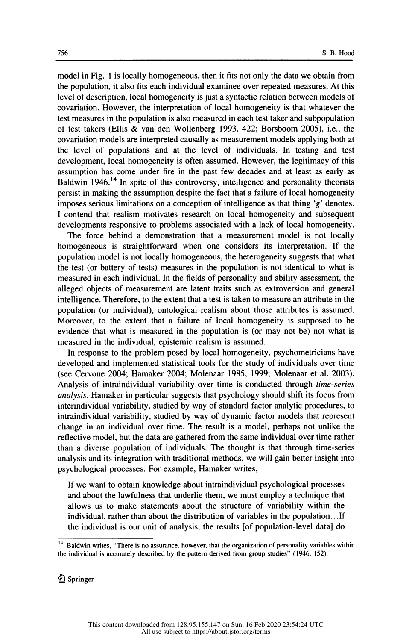S. B. Hood<br>model in Fig. 1 is locally homogeneous, then it fits not only the data we obtain from<br>the population, it also fits each individual examinee over repeated measures. At this S. B. Hood<br>model in Fig. 1 is locally homogeneous, then it fits not only the data we obtain from<br>the population, it also fits each individual examinee over repeated measures. At this<br>level of description, local homogeneity model in Fig. 1 is locally homogeneous, then it fits not only the data we obtain from<br>the population, it also fits each individual examinee over repeated measures. At this<br>level of description, local homogeneity is just a model in Fig. 1 is locally homogeneous, then it fits not only the data we obtain from<br>the population, it also fits each individual examinee over repeated measures. At this<br>level of description, local homogeneity is just a the population, it also fits each individual examinee over repeated measures. At this level of description, local homogeneity is just a syntactic relation between models of covariation. However, the interpretation of local level of description, local homogeneity is just a syntactic relation between models of<br>level of description, local homogeneity is just a syntactic relation between models of<br>covariation. However, the interpretation of loca covariation. However, the interpretation of local homogeneity is that whatever the<br>test measures in the population is also measured in each test taker and subpopulation<br>of test takers (Ellis & van den Wollenberg 1993, 422; covariation. However, the interpretation of local homogeneity is that whatever the<br>test measures in the population is also measured in each test taker and subpopulation<br>of test takers (Ellis & van den Wollenberg 1993, 422; of test takers (Ellis & van den Wollenberg 1993, 422; Borsboom 2005), i.e., the covariation models are interpreted causally as measurement models applying both at the level of populations and at the level of individuals. covariation models are interpreted causally as measurement models applying both at the level of populations and at the level of individuals. In testing and test development, local homogeneity is often assumed. However, th the level of populations and at the level of individuals. In testing and test development, local homogeneity is often assumed. However, the legitimacy of this assumption has come under fire in the past few decades and at l development, local homogeneity is often assumed. However, the legitimacy of this assumption has come under fire in the past few decades and at least as early as Baldwin 1946.<sup>14</sup> In spite of this controversy, intelligence assumption has come under fire in the past few decades and at least as early as<br>Baldwin 1946.<sup>14</sup> In spite of this controversy, intelligence and personality theorists<br>persist in making the assumption despite the fact that Baldwin 1946.<sup>14</sup> In spite of this controversy, intelligence and personality theorists persist in making the assumption despite the fact that a failure of local homogeneity imposes serious limitations on a conception of i persist in making the assumption despite the fact that a failure of local homogeneity<br>imposes serious limitations on a conception of intelligence as that thing 'g' denotes.<br>I contend that realism motivates research on loca SIST III making the assumption despite the ract that a randice of local homogeneity<br>poses serious limitations on a conception of intelligence as that thing 'g' denotes.<br>ontend that realism motivates research on local homog

I contend that realism motivates research on local homogeneity and subsequent<br>developments responsive to problems associated with a lack of local homogeneity.<br>The force behind a demonstration that a measurement model is no developments responsive to problems associated with a lack of local homogeneity.<br>The force behind a demonstration that a measurement model is not locally<br>homogeneous is straightforward when one considers its interpretation The force behind a demonstration that a measurement model is not locally homogeneous is straightforward when one considers its interpretation. If the population model is not locally homogeneous, the heterogeneity suggests homogeneous is straightforward when one considers its interpretation. If the population model is not locally homogeneous, the heterogeneity suggests that what the test (or battery of tests) measures in the population is no population model is not locally homogeneous, the heterogeneity suggests that what the test (or battery of tests) measures in the population is not identical to what is measured in each individual. In the fields of personal the test (or battery of tests) measures in the population is not identical to what is<br>measured in each individual. In the fields of personality and ability assessment, the<br>alleged objects of measurement are latent traits s measured in each individual. In the fields of personality and ability assessment, the alleged objects of measurement are latent traits such as extroversion and general intelligence. Therefore, to the extent that a test is ineasured in each individual. In the helds of personality and ability assessment, the alleged objects of measurement are latent traits such as extroversion and general intelligence. Therefore, to the extent that a test is intelligence. Therefore, to the extent that a test is taken to measure an attribute in the population (or individual), ontological realism about those attributes is assumed.<br>Moreover, to the extent that a failure of local population (or individual), ontological realism about those attributes is assumed.<br>Moreover, to the extent that a failure of local homogeneity is supposed to be<br>evidence that what is measured in the population is (or may n In response to the extent that a failure of local homogeneity is supposed to be dence that what is measured in the population is (or may not be) not what is assured in the individual, epistemic realism is assumed.<br>In respo

evidence that what is measured in the population is (or may not be) not what is<br>measured in the individual, epistemic realism is assumed.<br>In response to the problem posed by local homogeneity, psychometricians have<br>develop evidence that what is measured in the population is (or may not be) not what is<br>measured in the individual, epistemic realism is assumed.<br>In response to the problem posed by local homogeneity, psychometricians have<br>develop In response to the problem posed by local homogeneity, psychometricians have<br>developed and implemented statistical tools for the study of individuals over time<br>(see Cervone 2004; Hamaker 2004; Molenaar 1985, 1999; Molenaar developed and implemented statistical tools for the study of individuals over time<br>(see Cervone 2004; Hamaker 2004; Molenaar 1985, 1999; Molenaar et al. 2003).<br>Analysis of intraindividual variability over time is conducted (see Cervone 2004; Hamaker 2004; Molenaar 1985, 1999; Molenaar et al. 2003).<br>Analysis of intraindividual variability over time is conducted through *time-series*<br>*analysis*. Hamaker in particular suggests that psychology s Analysis of intraindividual variability over time is conducted through *time-series* analysis. Hamaker in particular suggests that psychology should shift its focus from interindividual variability, studied by way of stand analysis. Hamaker in particular suggests that psychology should shift its focus from<br>interindividual variability, studied by way of standard factor analytic procedures, to<br>intraindividual variability, studied by way of dyn interindividual variability, studied by way of standard factor analytic procedures, to intraindividual variability, studied by way of dynamic factor models that represent change in an individual over time. The result is a intraindividual variability, studied by way of dynamic factor models that represent change in an individual over time. The result is a model, perhaps not unlike the reflective model, but the data are gathered from the same change in an individual over time. The result is a model, perhaps not unlike the reflective model, but the data are gathered from the same individual over time rather than a diverse population of individuals. The thought i reflective model, but the data are gathered from the same individual over time rather<br>than a diverse population of individuals. The thought is that through time-series<br>analysis and its integration with traditional methods, In a diverse population of individuals. The thought is that through time-series<br>alysis and its integration with traditional methods, we will gain better insight into<br>vehological processes. For example, Hamaker writes,<br>If w

and about the lawfulness that underliented as we will gain better insight into<br>chological processes. For example, Hamaker writes,<br>If we want to obtain knowledge about intraindividual psychological processes<br>and about the l probably processes. For example, Hamaker writes,<br>and about the lawfulness that underlie them, we must employ a technique that<br>allows us to make statements about the structure of variability within the<br>individual, rather th If we want to obtain knowledge about intraindividual psychological processes<br>and about the lawfulness that underlie them, we must employ a technique that<br>allows us to make statements about the structure of variability with and about the lawfulness that underlie them, we must employ a technique that<br>allows us to make statements about the structure of variability within the<br>individual, rather than about the distribution of variables in the pop 14 Baldwin writes, "There is no assurance, however, that the organization of personality variables within<br>
<sup>14</sup> Baldwin writes, "There is no assurance, however, that the organization of personality variables within<br>
the i

the individual is our unit of analysis, the results [of population-level data] do<br>
<sup>14</sup> Baldwin writes, "There is no assurance, however, that the organization of personality variables within<br>
the individual is accurately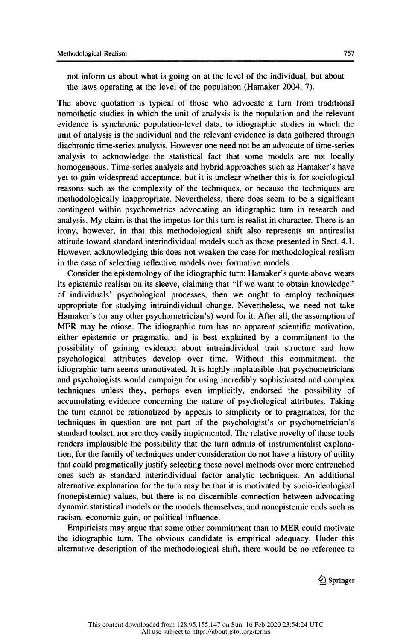not inform us about what is going on at the level of the individual, but about the laws operating at the level of the population (Hamaker 2004, 7).

The above quotation is typical of those who advocate a turn from traditional<br>nomothatic studies in which the unit of analysis is the population and the relevant The above quotation is typical of those who advocate a turn from traditional nomothetic studies in which the unit of analysis is the population and the relevant evidence is synchronic population-level data, to idiographic studies in which the unit of analysis is the individual and the relevant evidence is data gathered through diachronic time-series analysis. However one need not be an advocate of time-series diachronic time-series analysis. However one need not be an advocate of time-series<br>analysis to acknowledge the statistical fact that some models are not locally<br>homogeneous. Time series analysis and bybrid approaches such homogeneous. Time-series analysis and hybrid approaches such as Hamaker's have yet to gain widespread acceptance, but it is unclear whether this is for sociological reasons such as the complexity of the techniques, or because the techniques are methodologically inappropriate. Nevertheless, there does seem to be a significant contingent within psychometrics advocating an idiographic turn in research and methodologically inappropriate. Nevertheless, there does seem to be a significant<br>contingent within psychometrics advocating an idiographic turn in research and<br>analysis My claim is that the impaty for this turn is realist analysis. My claim is that the impetus for this turn is realist in character. There is an irony, however, in that this methodological shift also represents an antirealist analysis. My claim is that the impetus for this turn is realist in character. There is an irony, however, in that this methodological shift also represents an antirealist attitude toward standard interindividual models su attitude toward standard interindividual models such as those presented in Sect. 4.1. attitude toward standard interindividual models such as those presented in Sect. 4.1.<br>However, acknowledging this does not weaken the case for methodological realism<br>in the case of solecting reflective models over formativ However, acknowledging this does not weaken the case for methodological realism<br>in the case of selecting reflective models over formative models.<br>Consider the opistamelesus of the idiographic turn: Hamelese's quote above w in the case of selecting reflective models over formative models.<br>Consider the epistemology of the idiographic turn: Hamaker's quote above wears

 its epistemic realism on its sleeve, claiming that "if we want to obtain knowledge" of individuals' psychological processes, then we ought to employ techniques appropriate for studying intraindividual change. Nevertheless, we need not take Hamaker's (or any other psychometrician's) word for it. After all, the assumption of MER may be otiose. The idiographic turn has no apparent scientific motivation, either epistemic or pragmatic, and is best explained by a commitment to the possibility of gaining evidence about intraindividual trait structure and how<br>psychological attributes develop over time. Without this commitment, the possibility of gaining evidence about intraindividual trait structure and how<br>psychological attributes develop over time. Without this commitment, the<br>idiographic turn seems unmativated. It is highly impleysible that psych psychological attributes develop over time. Without this commitment, the<br>idiographic turn seems unmotivated. It is highly implausible that psychometricians<br>and psychologists would compaign for using incredibly conhisticate idiographic turn seems unmotivated. It is highly implausible that psychometricians<br>and psychologists would campaign for using incredibly sophisticated and complex<br>techniques unless that preferences are implicitly andered t and psychologists would campaign for using incredibly sophisticated and complex<br>techniques unless they, perhaps even implicitly, endorsed the possibility of<br>accumulating avidence concerning the nature of psychological attr techniques unless they, perhaps even implicitly, endorsed the possibility of accumulating evidence concerning the nature of psychological attributes. Taking the turn cannot be rationalized by appeals to simplicity or to pr accumulating evidence concerning the nature of psychological attributes. Taking<br>the turn cannot be rationalized by appeals to simplicity or to pragmatics, for the<br>techniques in question are not next of the psychologist's o the turn cannot be rationalized by appeals to simplicity or to pragmatics, for the techniques in question are not part of the psychologist's or psychometrician's standard toolect nor are than equily implemented. The relati techniques in question are not part of the psychologist's or psychometrician's standard toolset, nor are they easily implemented. The relative novelty of these tools renders implausible the possibility that the turn admits of instrumentalist explana tion, for the family of techniques under consideration do not have a history of utility that could pragmatically justify selecting these novel methods over more entrenched that could pragmatically justify selecting these novel methods over more entrenched<br>ones such as standard interindividual factor analytic techniques. An additional<br>alternative explanation for the turn may be that it is met alternative explanation for the turn may be that it is motivated by socio-ideological (nonepistemic) values, but there is no discernible connection between advocating (nonepistemic) values, but there is no discernible connection between advocating<br>dynamic statistical models or the models themselves, and nonepistemic ends such as<br>regism accromic pain, or political influence dynamic statistical models or the models themselves, and nonepistemic ends such as<br>racism, economic gain, or political influence.<br>Empiricists may agous that some other commitment than to MER sould matiuda racism, economic gain, or political influence.<br>Empiricists may argue that some other commitment than to MER could motivate

 the idiographic turn. The obvious candidate is empirical adequacy. Under this alternative description of the methodological shift, there would be no reference to

 $\mathcal{Q}$  Springer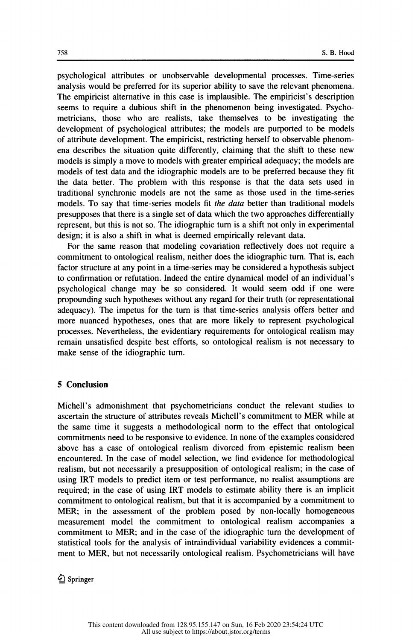S. B. Hood<br>psychological attributes or unobservable developmental processes. Time-series<br>analysis would be preferred for its superior ability to save the relevant phenomena. S. B. Hood<br>psychological attributes or unobservable developmental processes. Time-series<br>analysis would be preferred for its superior ability to save the relevant phenomena.<br>The empiricist alternative in this case is impla psychological attributes or unobservable developmental processes. Time-series analysis would be preferred for its superior ability to save the relevant phenomena.<br>The empiricist alternative in this case is implausible. The psychological attributes or unobservable developmental processes. Time-series<br>analysis would be preferred for its superior ability to save the relevant phenomena.<br>The empiricist alternative in this case is implausible. The psychological authories of unlosservable developmental processes. This series<br>analysis would be preferred for its superior ability to save the relevant phenomena.<br>The empiricist alternative in this case is implausible. The The empiricist alternative in this case is implausible. The empiricist's description<br>seems to require a dubious shift in the phenomenon being investigated. Psycho-<br>metricians, those who are realists, take themselves to be seems to require a dubious shift in the phenomenon being investigated. Psychometricians, those who are realists, take themselves to be investigating the development of psychological attributes; the models are purported to metricians, those who are realists, take themselves to be investigating the development of psychological attributes; the models are purported to be models of attribute development. The empiricist, restricting herself to ob development of psychological attributes; the models are purported to be models<br>of attribute development. The empiricist, restricting herself to observable phenom-<br>ena describes the situation quite differently, claiming tha of attribute development. The empiricist, restricting herself to observable phenom-<br>ena describes the situation quite differently, claiming that the shift to these new<br>models is simply a move to models with greater empiric or attribute development. The empiricist, restricting fields to coset value phenomena describes the situation quite differently, claiming that the shift to these new models is simply a move to models with greater empirical models is simply a move to models with greater empirical adequacy; the models are models of test data and the idiographic models are to be preferred because they fit the data better. The problem with this response is that models of test data and the idiographic models are to be preferred because they fit<br>the data better. The problem with this response is that the data sets used in<br>traditional synchronic models are not the same as those used the data better. The problem with this response is that the data sets used in traditional synchronic models are not the same as those used in the time-series models. To say that time-series models fit *the data* better tha traditional synchronic models are not the same as those used in the time-series models. To say that time-series models fit *the data* better than traditional models presupposes that there is a single set of data which the models. To say that time-series models fit *the data* better than traditional models<br>presupposes that there is a single set of data which the two approaches differentially<br>represent, but this is not so. The idiographic tur Examples is that there is a single set of data which the two approaches differentially resent, but this is not so. The idiographic turn is a shift not only in experimental sign; it is also a shift in what is deemed empiric

represent, but this is not so. The idiographic turn is a shift not only in experimental<br>design; it is also a shift in what is deemed empirically relevant data.<br>For the same reason that modeling covariation reflectively doe design; it is also a shift in what is deemed empirically relevant data.<br>For the same reason that modeling covariation reflectively does not require a<br>commitment to ontological realism, neither does the idiographic turn. Th For the same reason that modeling covariation reflectively does not require a<br>commitment to ontological realism, neither does the idiographic turn. That is, each<br>factor structure at any point in a time-series may be consid For the same reason that modering covariation renectively does not require a<br>commitment to ontological realism, neither does the idiographic turn. That is, each<br>factor structure at any point in a time-series may be conside factor structure at any point in a time-series may be considered a hypothesis subject<br>to confirmation or refutation. Indeed the entire dynamical model of an individual's<br>psychological change may be so considered. It would to confirmation or refutation. Indeed the entire dynamical model of an individual's psychological change may be so considered. It would seem odd if one were propounding such hypotheses without any regard for their truth (o psychological change may be so considered. It would seem odd if one were<br>propounding such hypotheses without any regard for their truth (or representational<br>adequacy). The impetus for the turn is that time-series analysis propounding such hypotheses without any regard for their truth (or representational adequacy). The impetus for the turn is that time-series analysis offers better and more nuanced hypotheses, ones that are more likely to r adequacy). The impetus for the turn is that time-series analysis offers better and more nuanced hypotheses, ones that are more likely to represent psychological processes. Nevertheless, the evidentiary requirements for ont more nuanced hypotheses, ones that are more likely to represent psychological processes. Nevertheless, the evidentiary requirements for ontological realism may remain unsatisfied despite best efforts, so ontological realis

### 5 Conclusion

Michell's admonishment that psychometricians conduct the relevant studies to ascertain the structure of attributes reveals Micheli' s commitment to MER while at the same time it suggests a methodological norm to the effect that ontological commitments need to be responsive to evidence. In none of the examples considered above has a case of ontological realism divorced from epistemic realism been encountered. In the case of model selection, we find evidence for methodological realism, but not necessarily a presupposition of ontological realism; in the case of using IRT models to predict item or test performance, no realist assumptions are required; in the case of using IRT models to estimate ability there is an implicit commitment to ontological realism, but that it is accompanied by a commitment to MER; in the assessment of the problem posed by non-locally homogeneous measurement model the commitment to ontological realism accompanies a commitment to MER; and in the case of the idiographic turn the development of statistical tools for the analysis of intraindividual variability evidences a commitment to MER, but not necessarily ontological realism. Psychometricians will have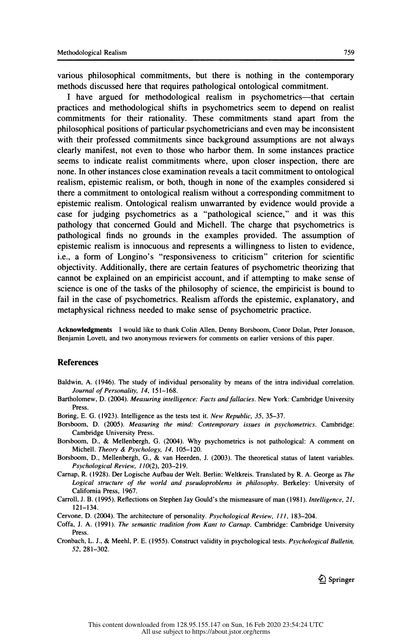various philosophical commitments, but there is nothing in the contemporary methods discussed here that requires pathological ontological commitment.<br>I have argued for methodological realism in psychometrics—that certain

thods discussed here that requires pathological ontological commitment.<br>I have argued for methodological realism in psychometrics—that certain<br>octions and methodological shifts in psychometrics seem to depend on realist practices and methodological shifts in psychometrics seem to depend on realist commitments for their rationality. These commitments stand apart from the philosophical positions of particular psychometricians and even may be inconsistent with their professed commitments since background assumptions are not always clearly manifest, not even to those who harbor them. In some instances practice seems to indicate realist commitments where, upon closer inspection, there are none. In other instances close examination reveals a tacit commitment to ontological realism, epistemic realism, or both, though in none of the examples considered si there a commitment to ontological realism without a corresponding commitment to epistemic realism. Ontological realism unwarranted by evidence would provide a case for judging psychometrics as a "pathological science," and it was this pathology that concerned Gould and Micheli. The charge that psychometrics is pathological finds no grounds in the examples provided. The assumption of epistemic realism is innocuous and represents a willingness to listen to evidence, i.e., a form of Longino's "responsiveness to criticism" criterion for scientific objectivity. Additionally, there are certain features of psychometric theorizing that cannot be explained on an empiricist account, and if attempting to make sense of science is one of the tasks of the philosophy of science, the empiricist is bound to fail in the case of psychometrics. Realism affords the epistemic, explanatory, and metaphysical richness needed to make sense of psychometric practice.

 Acknowledgments I would like to thank Colin Allen, Denny Borsboom, Conor Dolan, Peter Jonason, Benjamin Lovett, and two anonymous reviewers for comments on earlier versions of this paper.

#### References

- Baldwin, A. (1946). The study of individual personality by means of the intra individual correlation. Journal of Personality, 14, 151-168.
- Bartholomew, D. (2004). Measuring intelligence: Facts and fallacies. New York: Cambridge University Press.
- Boring, E. G. (1923). Intelligence as the tests test it. New Republic, 35, 35-37.
- Borsboom, D. (2005). Measuring the mind: Contemporary issues in psychometrics. Cambridge: Cambridge University Press.
- Borsboom, D., & Mellenbergh, G. (2004). Why psychometrics is not pathological: A comment on Michell. Theory & Psychology, 14, 105-120.
- Borsboom, D., Mellenbergh, G., & van Heerden, J. (2003). The theoretical status of latent variables. Psychological Review, 110(2), 203-219.
- Carnap, R. (1928). Der Logische Aufbau der Welt. Berlin: Weltkreis. Translated by R. A. George as The Logical structure of the world and pseudoproblems in philosophy. Berkeley: University of California Press, 1967.
- Carroll, J. B. (1995). Reflections on Stephen Jay Gould's the mismeasure of man (1981). Intelligence, 21, 121-134.
- Cervone, D. (2004). The architecture of personality. Psychological Review, 111, 183-204.
- Coffa, J. A. (1991). The semantic tradition from Kant to Carnap. Cambridge: Cambridge University Press.
- Cronbach, L. J., & Meehl, P. E. (1955). Construct validity in psychological tests. Psychological Bulletin, 52, 281-302.

 $@$  Springer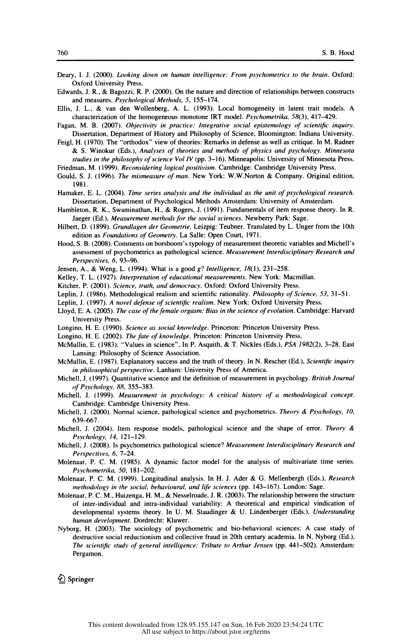- S. B. Hood<br>Deary, I. J. (2000). *Looking down on human intelligence: From psychometrics to the brain*. Oxford:<br>Oxford University Press. 9. D. 1000<br>y, I. J. (2000). *Looking down on human intelligence: From psychometrics to the brain*. Oxford:<br>Oxford University Press.<br>irds, J. R., & Bagozzi, R. P. (2000). On the nature and direction of relationships between Deary, I. J. (2000). *Looking down on human intelligence: From psychometrics to the brain*. Oxford:<br>Oxford University Press.<br>Edwards, J. R., & Bagozzi, R. P. (2000). On the nature and direction of relationships between con v, I. J. (2000). *Looking down on human intelligence: From psychometrics to the brain*. Oxford:<br>Oxford University Press.<br>rds, J. R., & Bagozzi, R. P. (2000). On the nature and direction of relationships between constructs<br>
- 
- Deary, I. J. (2000). *Looking down on human intelligence: From psychometrics to the brain*. Oxford:<br>Oxford University Press.<br>Edwards, J. R., & Bagozzi, R. P. (2000). On the nature and direction of relationships between con rds, J. R., & Bagozzi, R. P. (2000). On the nature and direction of relationships between constructs<br>and measures. *Psychological Methods*, 5, 155–174.<br>J. L., & van den Wollenberg, A. L. (1993). Local homogeneity in latent
- Edwards, J. K., & Bagozzi, K. F. (2000). Oh the haddle and direction of relationships between constitues<br>and measures. *Psychological Methods*, 5, 155–174.<br>Ellis, J. L., & van den Wollenberg, A. L. (1993). Local homogeneit J. L., & van den Wollenberg, A. L. (1993). Local homogeneity in latent trait models. A characterization of the homogeneous monotone IRT model. *Psychometrika*, 58(3), 417–429.<br>1, M. B. (2007). *Objectivity in practice: Int*
- characterization of the homogeneous monotone IRT model. *Psychometrika*, 58(3), 417–429.<br>Fagan, M. B. (2007). *Objectivity in practice: Integrative social epistemology of scientific inquiry*.<br>Dissertation, Department of Hi **N. M. B. (2007).** Objectivity in practice: Integrative social epistemology of scientific inquiry.<br>Dissertation, Department of History and Philosophy of Science, Bloomington: Indiana University.<br>H. (1970). The "orthodox" Dissertation, Department of History and Philosophy of Science, Bloomington: Indiana University.<br>
, H. (1970). The "orthodox" view of theories: Remarks in defense as well as critique. In M. Radner<br>
& S. Winokur (Eds.), *Ana* Feigl, H. (1970). The "orthodox" view of theories: Remarks in defense as well as critique. In M. Radner & S. Winokur (Eds.), *Analyses of theories and methods of physics and psychology. Minnesota studies in the philosophy* Every, 11 (1996). The Could, S. J. (1996). Analyses of theories and methods of physics and psychology. Minnesota<br>studies in the philosophy of science Vol IV (pp. 3–16). Minneapolis: University of Minnesota Press.<br>Friedman
- 
- studies in the philosophy of science Vol IV (pp. 3–16). Minneapolis: University of Minnesota Press.<br>Friedman, M. (1999). *Reconsidering logical positivism*. Cambridge: Cambridge University Press.<br>Gould, S. J. (1996). *The*
- Friedman, M. (1999). *Reconsidering logical positivism*. Cambridge: Cambridge University Press.<br>Gould, S. J. (1996). *The mismeasure of man*. New York: W.W.Norton & Company. Original edition, 1981.<br>Hamaker, E. L. (2004). d, S. J. (1996). *The mismeasure of man*. New York: W.W.Norton & Company. Original edition, 1981.<br>1981.<br>aker, E. L. (2004). *Time series analysis and the individual as the unit of psychological research*.<br>Dissertation, Dep 1981.<br>Hamaker, E. L. (2004). Time series analysis and the individual as the unit of psychological research.<br>Dissertation, Department of Psychological Methods Amsterdam: University of Amsterdam.<br>Hambleton, R. K., Swaminatha aker, E. L. (2004). *Time series analysis and the individual as the unit of psychological research*.<br>Dissertation, Department of Psychological Methods Amsterdam: University of Amsterdam.<br>Dieton, R. K., Swaminathan, H., & R
- 
- Dissertation, Department of Psychological Methods Amsterdam: University of Amsterdam.<br>Hambleton, R. K., Swaminathan, H., & Rogers, J. (1991). Fundamentals of item response theory. In R.<br>Jaeger (Ed.), *Measurement methods f* Electrician. Department of *Laystongest* 1. (1991). Fundamentals of item response theory. In R. Jaeger (Ed.), *Measurement methods for the social sciences*. Newberry Park: Sage.<br>The U.S. *Measurement methods for the social*
- Jaeger (Ed.), *Measurement methods for the social sciences*. Newberry Park: Sage.<br>Hilbert, D. (1899). *Grundlagen der Geometrie*. Leizpig: Teubner. Translated by L. Unger from the 10th<br>edition as *Foundations of Geometry*. assessment of psychometrics as pathological science. Translated by L. Unger from the 10th edition as *Foundations of Geometry*. La Salle: Open Court, 1971.<br>
I, S. B. (2008). Comments on borsboom's typology of measurement t edition as *Foundations of Geometry*. La Salle: Open Court, 1971.<br>
1, S. B. (2008). Comments on borsboom's typology of measurement theoretic variables and Michell's<br>
assessment of psychometrics as pathological science. *Me* Hood, S. B. (2008). Comments on borsboom's typology of measurement theoretic variables and Michell's<br>assessment of psychometrics as pathological science. *Measurement Interdisciplinary Research and*<br>*Perspectives*, 6, 93– Accessiment of psychometrics as pathological science. Measurement Interdisciplinary Research and<br> *Perspectives*, 6, 93–96.<br>
Jensen, A., & Weng, L. (1994). What is a good  $g$ ? Intelligence, 18(1), 231–258.<br>
Kelley, T. L. ( Perspectives, 6, 93–96.<br>Jensen, A., & Weng, L. (1994). What is a good  $g$ ? Intelligence, 18(1), 231–258.<br>Kelley, T. L. (1927). Interpretation of educational measurements. New York: Macmillan.<br>Kitcher, P. (2001). Science, t

- 
- 
- Jensen, A., & Weng, L. (1994). What is a good *g? Intelligence, 18*(1), 231–258.<br>Kelley, T. L. (1927). *Interpretation of educational measurements*. New York: Macmillan.<br>Kitcher, P. (2001). *Science, truth, and democracy*.
- 
- Kelley, T. L. (1927). *Interpretation of educational measurements*. New York: Macmillan.<br>Kitcher, P. (2001). *Science, truth, and democracy*. Oxford: Oxford University Press.<br>Leplin, J. (1986). Methodological realism and s Kitcher, P. (2001). Science, truth, and democracy. Oxford: Oxford University Press.<br>Leplin, J. (1986). Methodological realism and scientific rationality. *Philosophy of Science*, 53, 31–51.<br>Leplin, J. (1997). A novel defen Leplin, J. (1986). Methodological realism and scientific rationality. *Philosophy of Science*, 53, 31–51.<br>Leplin, J. (1997). *A novel defense of scientific realism*. New York: Oxford University Press.<br>Lloyd, E. A. (2005). Loplin, J. (1997). A novel defense of scientific realism. New York: Oxford University Press.<br>Loyd, E. A. (2005). The case of the female orgasm: Bias in the science of evolution. Cambridge: Harvard<br>University Press.<br>Longino Lloyd, E. A. (2005). The case of the female orgasm: Bias in the science of evolution. Cambridge: Harvard<br>University Press.<br>Longino, H. E. (1990). Science as social knowledge. Princeton: Princeton University Press.<br>Longino,
- 
- 
- Libyd, E. A. (2003). The case of the female orgasm. Blas in the science of evolution. Californic University Press.<br>
Longino, H. E. (1990). Science as social knowledge. Princeton: Princeton University Press.<br>
McMullin, E. ( ino, H. E. (1990). Science as social knowledge. Princeton: Princeton University Press.<br>ino, H. E. (1990). Science as social knowledge. Princeton: Princeton University Press.<br>ullin, E. (1983). "Values in science", In P. Asq Longino, H. E. (2002). The fate of knowledge. Princeton: Princeton University Press.<br>McMullin, E. (1983). "Values in science", In P. Asquith, & T. Nickles (Eds.), *PSA 1982*(2), 3–28. East<br>Lansing: Philosophy of Science As ullin, E. (1983). "Values in science", In P. Asquith, & T. Nickles (Eds.), *PSA 1982*(2), 3–28. East<br>Lansing: Philosophy of Science Association.<br>ullin, E. (1987). Explanatory success and the truth of theory. In N. Rescher
- Lansing: Philosophy of Science Association.<br>McMullin, E. (1987). Explanatory success and the truth of theory. In N. Rescher (Ed.), Scientific inquiry<br>in philosophical perspective. Lanham: University Press of America.<br>Miche ullin, E. (1987). Explanatory success and the truth of theory. In N. Rescher (Ed.), *Scientific inquiry*<br>in philosophical perspective. Lanham: University Press of America.<br>ell, J. (1997). Quantitative science and the defin
- 
- McMullin, E. (1987). Explanatory success and the truth of theory. In N. Rescher (Ed.), *Scientific inquiry*<br> *in philosophical perspective*. Lanham: University Press of America.<br>
Michell, J. (1997). Quantitative science an ell, J. (1997). Quantitative science and the definition of measurement in psychology. *British Journal*<br>of Psychology, 88, 355–383.<br>ell, J. (1999). *Measurement in psychology: A critical history of a methodological concept* of Psychology, 88, 355–383.<br>Michell, J. (1999). Measurement in psychology: A critical history of a methodological concept.<br>Cambridge: Cambridge University Press.<br>Michell, J. (2000). Normal science, pathological science and
- 639-667.
- Michell, J. (2004). Item response models, pathological science and the shape of error. Theory  $\&$ Psychology, 14, 121-129.
- Micheli, J. (2008). Is psychometrics pathological science? Measurement Interdisciplinary Research and Perspectives, 6, 7-24.
- Molenaar, P. C. M. (1985). A dynamic factor model for the analysis of multivariate time series. Psychometrika, 50, 181-202.
- Molenaar, P. C. M. (1999). Longitudinal analysis. In H. J. Ader & G. Mellenbergh (Eds.), Research methodology in the social, behavioural, and life sciences (pp. 143-167). London: Sage.
- Molenaar, P. C. M., Huizenga, H. M., & Nesselroade, J. R. (2003). The relationship between the structure of inter-individual and intra-individual variability: A theoretical and empirical vindication of developmental systems theory. In U. M. Staudinger & U. Lindenberger (Eds.), Understanding human development. Dordrecht: Kluwer.
- Nyborg, H. (2003). The sociology of psychometric and bio-behavioral sciences: A case study of destructive social reductionism and collective fraud in 20th century academia. In N. Nyborg (Ed.), The scientific study of general intelligence: Tribute to Arthur Jensen (pp. 441-502). Amsterdam: Pergamon.

£) Springer